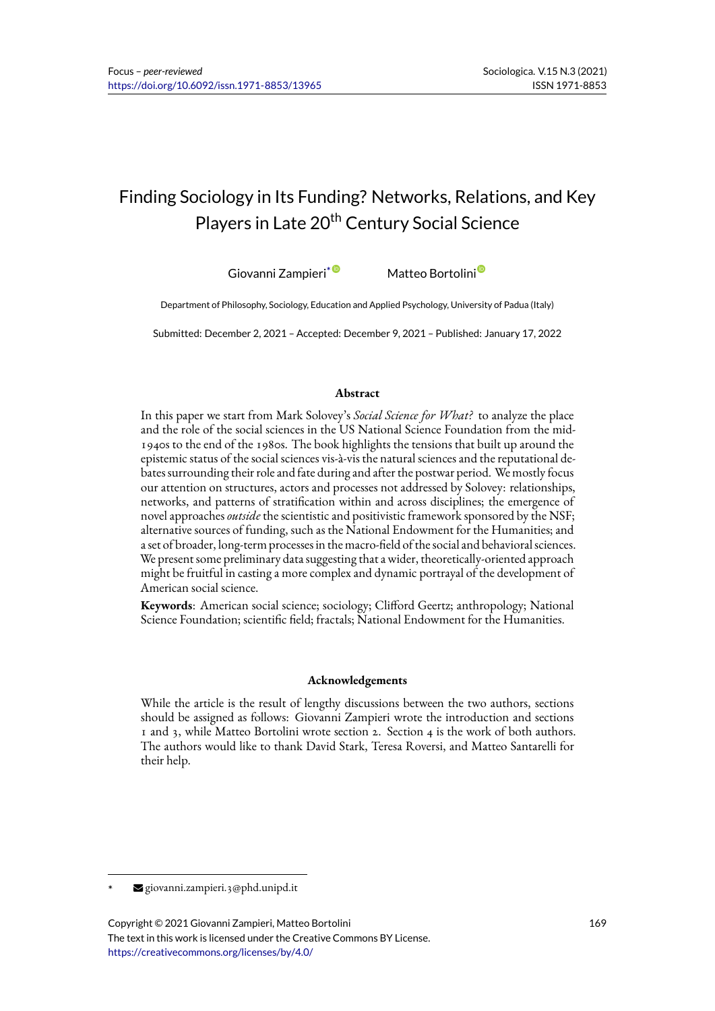# Finding Sociology in Its Funding? Networks, Relations, and Key Players in Late 20<sup>th</sup> Century Social Science

Giovanni Zampieri<sup>\* O</sup> Matteo Bortolini<sup>O</sup>

Department of Philosophy, Sociology, Education and Applied Psychology, University of Padua (Italy)

Submitted: December 2, 2021 – Accepte[d:](https://orcid.org/0000-0002-8848-0808) December 9, 2021 – Publishe[d: J](https://orcid.org/0000-0002-2532-9334)anuary 17, 2022

#### **Abstract**

In this paper we start from Mark Solovey's *Social Science for What?* to analyze the place and the role of the social sciences in the US National Science Foundation from the mid-1940s to the end of the 1980s. The book highlights the tensions that built up around the epistemic status of the social sciences vis-à-vis the natural sciences and the reputational debates surrounding their role and fate during and after the postwar period. We mostly focus our attention on structures, actors and processes not addressed by Solovey: relationships, networks, and patterns of stratification within and across disciplines; the emergence of novel approaches*outside* the scientistic and positivistic framework sponsored by the NSF; alternative sources of funding, such as the National Endowment for the Humanities; and a set of broader, long-term processes in the macro-field of the social and behavioral sciences. We present some preliminary data suggesting that a wider, theoretically-oriented approach might be fruitful in casting a more complex and dynamic portrayal of the development of American social science.

**Keywords**: American social science; sociology; Clifford Geertz; anthropology; National Science Foundation; scientific field; fractals; National Endowment for the Humanities.

#### **Acknowledgements**

While the article is the result of lengthy discussions between the two authors, sections should be assigned as follows: Giovanni Zampieri wrote the introduction and sections 1 and 3, while Matteo Bortolini wrote section 2. Section 4 is the work of both authors. The authors would like to thank David Stark, Teresa Roversi, and Matteo Santarelli for their help.

<sup>\*</sup> giovanni.zampieri.3@phd.unipd.it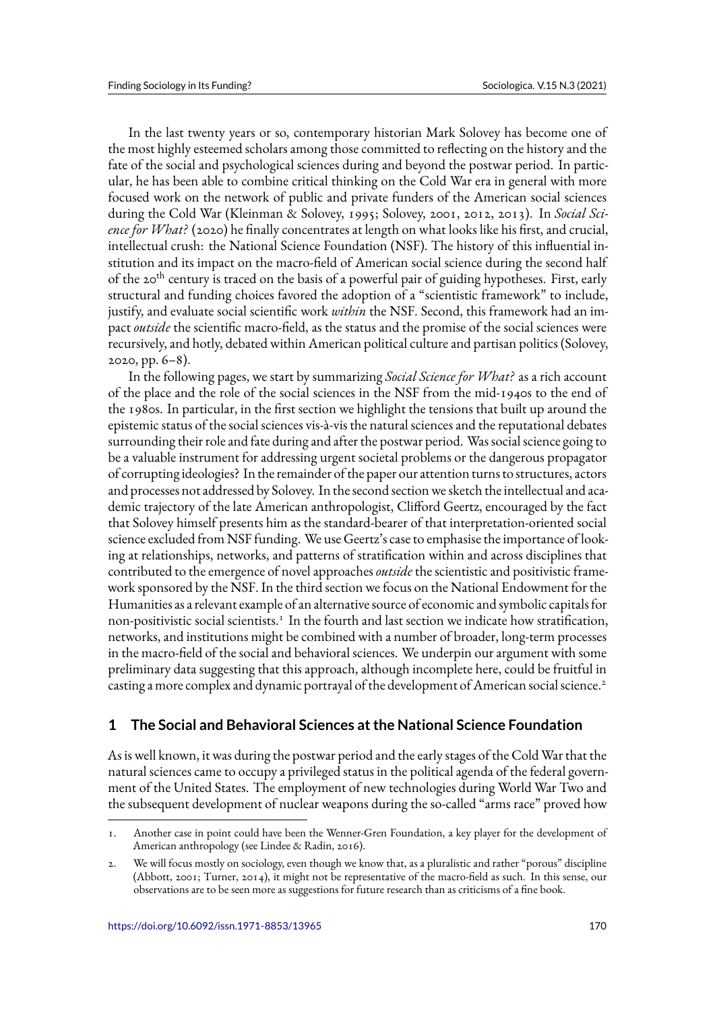In the last twenty years or so, contemporary historian Mark Solovey has become one of the most highly esteemed scholars among those committed to reflecting on the history and the fate of the social and psychological sciences during and beyond the postwar period. In particular, he has been able to combine critical thinking on the Cold War era in general with more focused work on the network of public and private funders of the American social sciences during the Cold War (Kleinman & Solovey, 1995; Solovey, 2001, 2012, 2013). In *Social Science for What?* (2020) he finally concentrates at length on what looks like his first, and crucial, intellectual crush: the National Science Foundation (NSF). The history of this influential institution and its impact on the macro-field of American social science during the second half of the 20<sup>th</sup> century is traced on the basis of a powerful pair of guiding hypotheses. First, early structural and funding choices favored the adoption of a "scientistic framework" to include, justify, and evaluate social scientific work *within* the NSF. Second, this framework had an impact *outside* the scientific macro-field, as the status and the promise of the social sciences were recursively, and hotly, debated within American political culture and partisan politics (Solovey, 2020, pp. 6–8).

In the following pages, we start by summarizing *Social Science for What?* as a rich account of the place and the role of the social sciences in the NSF from the mid-1940s to the end of the 1980s. In particular, in the first section we highlight the tensions that built up around the epistemic status of the social sciences vis-à-vis the natural sciences and the reputational debates surrounding their role and fate during and after the postwar period. Was social science going to be a valuable instrument for addressing urgent societal problems or the dangerous propagator of corrupting ideologies? In the remainder of the paper our attention turns to structures, actors and processes not addressed by Solovey. In the second section we sketch the intellectual and academic trajectory of the late American anthropologist, Clifford Geertz, encouraged by the fact that Solovey himself presents him as the standard-bearer of that interpretation-oriented social science excluded from NSF funding. We use Geertz's case to emphasise the importance of looking at relationships, networks, and patterns of stratification within and across disciplines that contributed to the emergence of novel approaches*outside* the scientistic and positivistic framework sponsored by the NSF. In the third section we focus on the National Endowment for the Humanities as a relevant example of an alternative source of economic and symbolic capitals for non-positivistic social scientists.<sup>1</sup> In the fourth and last section we indicate how stratification, networks, and institutions might be combined with a number of broader, long-term processes in the macro-field of the social and behavioral sciences. We underpin our argument with some preliminary data suggesting that this approach, although incomplete here, could be fruitful in casting a more complex and dynamic portrayal of the development of American social science.<sup>2</sup>

## **1 The Social and Behavioral Sciences at the National Science Foundation**

As is well known, it was during the postwar period and the early stages of the Cold War that the natural sciences came to occupy a privileged status in the political agenda of the federal government of the United States. The employment of new technologies during World War Two and the subsequent development of nuclear weapons during the so-called "arms race" proved how

<sup>1.</sup> Another case in point could have been the Wenner-Gren Foundation, a key player for the development of American anthropology (see Lindee & Radin, 2016).

<sup>2.</sup> We will focus mostly on sociology, even though we know that, as a pluralistic and rather "porous" discipline (Abbott, 2001; Turner, 2014), it might not be representative of the macro-field as such. In this sense, our observations are to be seen more as suggestions for future research than as criticisms of a fine book.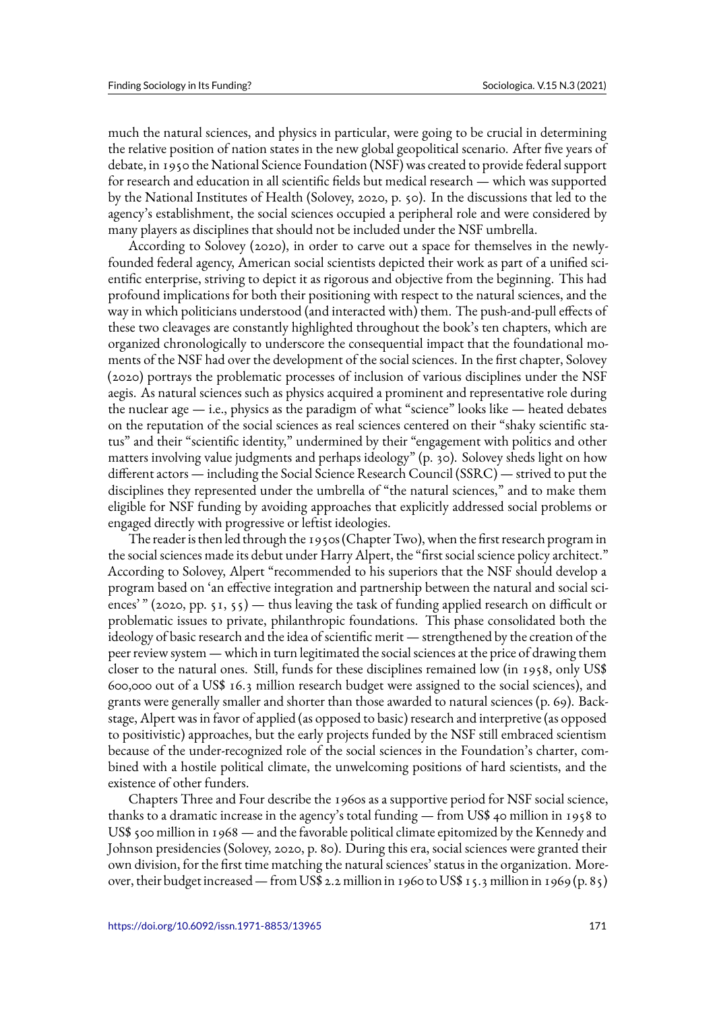much the natural sciences, and physics in particular, were going to be crucial in determining the relative position of nation states in the new global geopolitical scenario. After five years of debate, in 1950 the National Science Foundation (NSF) was created to provide federal support for research and education in all scientific fields but medical research — which was supported by the National Institutes of Health (Solovey, 2020, p. 50). In the discussions that led to the agency's establishment, the social sciences occupied a peripheral role and were considered by many players as disciplines that should not be included under the NSF umbrella.

According to Solovey (2020), in order to carve out a space for themselves in the newlyfounded federal agency, American social scientists depicted their work as part of a unified scientific enterprise, striving to depict it as rigorous and objective from the beginning. This had profound implications for both their positioning with respect to the natural sciences, and the way in which politicians understood (and interacted with) them. The push-and-pull effects of these two cleavages are constantly highlighted throughout the book's ten chapters, which are organized chronologically to underscore the consequential impact that the foundational moments of the NSF had over the development of the social sciences. In the first chapter, Solovey (2020) portrays the problematic processes of inclusion of various disciplines under the NSF aegis. As natural sciences such as physics acquired a prominent and representative role during the nuclear age — i.e., physics as the paradigm of what "science" looks like — heated debates on the reputation of the social sciences as real sciences centered on their "shaky scientific status" and their "scientific identity," undermined by their "engagement with politics and other matters involving value judgments and perhaps ideology" (p. 30). Solovey sheds light on how different actors — including the Social Science Research Council (SSRC) — strived to put the disciplines they represented under the umbrella of "the natural sciences," and to make them eligible for NSF funding by avoiding approaches that explicitly addressed social problems or engaged directly with progressive or leftist ideologies.

The reader is then led through the 1950s (Chapter Two), when the first research program in the social sciences made its debut under Harry Alpert, the "first social science policy architect." According to Solovey, Alpert "recommended to his superiors that the NSF should develop a program based on 'an effective integration and partnership between the natural and social sciences'"  $(2020, pp. 51, 55)$  — thus leaving the task of funding applied research on difficult or problematic issues to private, philanthropic foundations. This phase consolidated both the ideology of basic research and the idea of scientific merit — strengthened by the creation of the peer review system — which in turn legitimated the social sciences at the price of drawing them closer to the natural ones. Still, funds for these disciplines remained low (in 1958, only US\$ 600,000 out of a US\$ 16.3 million research budget were assigned to the social sciences), and grants were generally smaller and shorter than those awarded to natural sciences (p. 69). Backstage, Alpert was in favor of applied (as opposed to basic) research and interpretive (as opposed to positivistic) approaches, but the early projects funded by the NSF still embraced scientism because of the under-recognized role of the social sciences in the Foundation's charter, combined with a hostile political climate, the unwelcoming positions of hard scientists, and the existence of other funders.

Chapters Three and Four describe the 1960s as a supportive period for NSF social science, thanks to a dramatic increase in the agency's total funding — from US\$ 40 million in 1958 to US\$ 500 million in 1968 — and the favorable political climate epitomized by the Kennedy and Johnson presidencies (Solovey, 2020, p. 80). During this era, social sciences were granted their own division, for the first time matching the natural sciences' status in the organization. Moreover, their budget increased — from US\$ 2.2 million in 1960 to US\$ 15.3 million in 1969 (p. 85)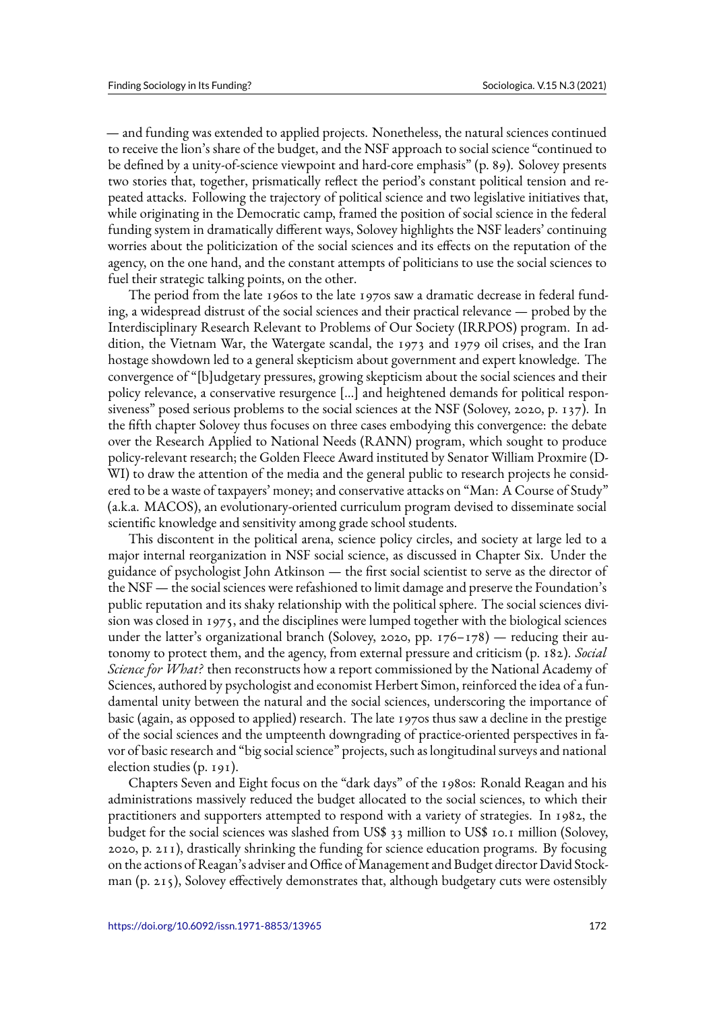— and funding was extended to applied projects. Nonetheless, the natural sciences continued to receive the lion's share of the budget, and the NSF approach to social science "continued to be defined by a unity-of-science viewpoint and hard-core emphasis" (p. 89). Solovey presents two stories that, together, prismatically reflect the period's constant political tension and repeated attacks. Following the trajectory of political science and two legislative initiatives that, while originating in the Democratic camp, framed the position of social science in the federal funding system in dramatically different ways, Solovey highlights the NSF leaders' continuing worries about the politicization of the social sciences and its effects on the reputation of the agency, on the one hand, and the constant attempts of politicians to use the social sciences to fuel their strategic talking points, on the other.

The period from the late 1960s to the late 1970s saw a dramatic decrease in federal funding, a widespread distrust of the social sciences and their practical relevance — probed by the Interdisciplinary Research Relevant to Problems of Our Society (IRRPOS) program. In addition, the Vietnam War, the Watergate scandal, the 1973 and 1979 oil crises, and the Iran hostage showdown led to a general skepticism about government and expert knowledge. The convergence of "[b]udgetary pressures, growing skepticism about the social sciences and their policy relevance, a conservative resurgence […] and heightened demands for political responsiveness" posed serious problems to the social sciences at the NSF (Solovey, 2020, p. 137). In the fifth chapter Solovey thus focuses on three cases embodying this convergence: the debate over the Research Applied to National Needs (RANN) program, which sought to produce policy-relevant research; the Golden Fleece Award instituted by Senator William Proxmire (D-WI) to draw the attention of the media and the general public to research projects he considered to be a waste of taxpayers' money; and conservative attacks on "Man: A Course of Study" (a.k.a. MACOS), an evolutionary-oriented curriculum program devised to disseminate social scientific knowledge and sensitivity among grade school students.

This discontent in the political arena, science policy circles, and society at large led to a major internal reorganization in NSF social science, as discussed in Chapter Six. Under the guidance of psychologist John Atkinson — the first social scientist to serve as the director of the NSF — the social sciences were refashioned to limit damage and preserve the Foundation's public reputation and its shaky relationship with the political sphere. The social sciences division was closed in 1975, and the disciplines were lumped together with the biological sciences under the latter's organizational branch (Solovey, 2020, pp.  $176-178$ ) — reducing their autonomy to protect them, and the agency, from external pressure and criticism (p. 182). *Social Science for What?* then reconstructs how a report commissioned by the National Academy of Sciences, authored by psychologist and economist Herbert Simon, reinforced the idea of a fundamental unity between the natural and the social sciences, underscoring the importance of basic (again, as opposed to applied) research. The late 1970s thus saw a decline in the prestige of the social sciences and the umpteenth downgrading of practice-oriented perspectives in favor of basic research and "big social science" projects, such as longitudinal surveys and national election studies (p. 191).

Chapters Seven and Eight focus on the "dark days" of the 1980s: Ronald Reagan and his administrations massively reduced the budget allocated to the social sciences, to which their practitioners and supporters attempted to respond with a variety of strategies. In 1982, the budget for the social sciences was slashed from US\$ 33 million to US\$ 10.1 million (Solovey, 2020, p. 211), drastically shrinking the funding for science education programs. By focusing on the actions of Reagan's adviser and Office of Management and Budget director David Stockman (p. 215), Solovey effectively demonstrates that, although budgetary cuts were ostensibly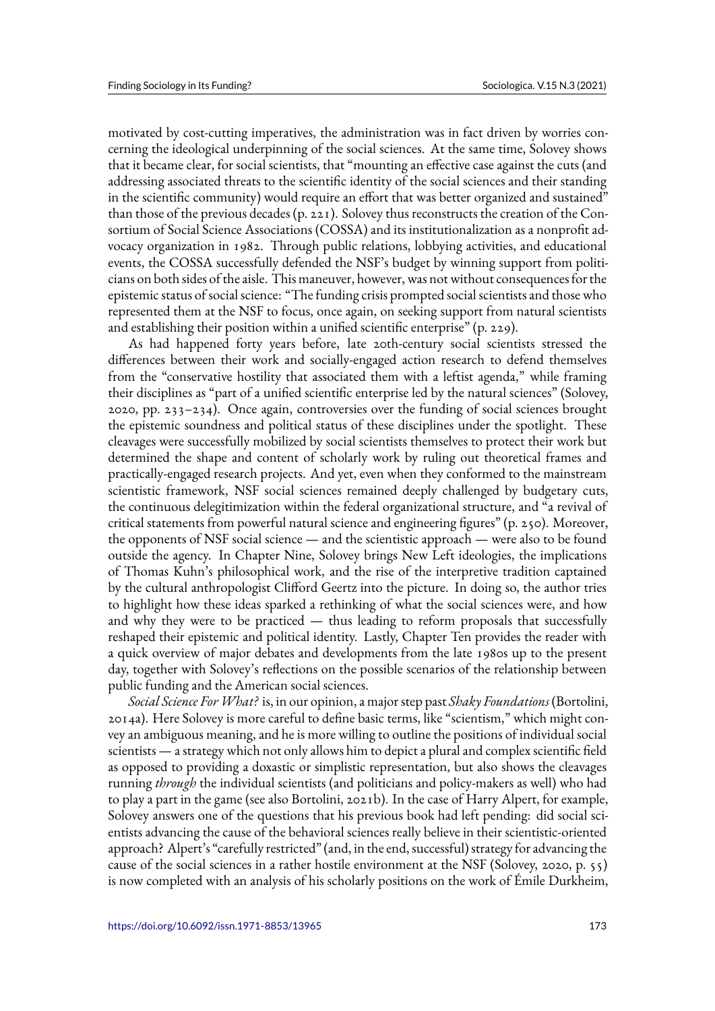motivated by cost-cutting imperatives, the administration was in fact driven by worries concerning the ideological underpinning of the social sciences. At the same time, Solovey shows that it became clear, for social scientists, that "mounting an effective case against the cuts (and addressing associated threats to the scientific identity of the social sciences and their standing in the scientific community) would require an effort that was better organized and sustained" than those of the previous decades (p. 221). Solovey thus reconstructs the creation of the Consortium of Social Science Associations (COSSA) and its institutionalization as a nonprofit advocacy organization in 1982. Through public relations, lobbying activities, and educational events, the COSSA successfully defended the NSF's budget by winning support from politicians on both sides of the aisle. This maneuver, however, was not without consequences for the epistemic status of social science: "The funding crisis prompted social scientists and those who represented them at the NSF to focus, once again, on seeking support from natural scientists and establishing their position within a unified scientific enterprise" (p. 229).

As had happened forty years before, late 20th-century social scientists stressed the differences between their work and socially-engaged action research to defend themselves from the "conservative hostility that associated them with a leftist agenda," while framing their disciplines as "part of a unified scientific enterprise led by the natural sciences" (Solovey, 2020, pp. 233–234). Once again, controversies over the funding of social sciences brought the epistemic soundness and political status of these disciplines under the spotlight. These cleavages were successfully mobilized by social scientists themselves to protect their work but determined the shape and content of scholarly work by ruling out theoretical frames and practically-engaged research projects. And yet, even when they conformed to the mainstream scientistic framework, NSF social sciences remained deeply challenged by budgetary cuts, the continuous delegitimization within the federal organizational structure, and "a revival of critical statements from powerful natural science and engineering figures" (p. 250). Moreover, the opponents of NSF social science — and the scientistic approach — were also to be found outside the agency. In Chapter Nine, Solovey brings New Left ideologies, the implications of Thomas Kuhn's philosophical work, and the rise of the interpretive tradition captained by the cultural anthropologist Clifford Geertz into the picture. In doing so, the author tries to highlight how these ideas sparked a rethinking of what the social sciences were, and how and why they were to be practiced — thus leading to reform proposals that successfully reshaped their epistemic and political identity. Lastly, Chapter Ten provides the reader with a quick overview of major debates and developments from the late 1980s up to the present day, together with Solovey's reflections on the possible scenarios of the relationship between public funding and the American social sciences.

*Social Science ForWhat?* is, in our opinion, a major step past *Shaky Foundations* (Bortolini, 2014a). Here Solovey is more careful to define basic terms, like "scientism," which might convey an ambiguous meaning, and he is more willing to outline the positions of individual social scientists — a strategy which not only allows him to depict a plural and complex scientific field as opposed to providing a doxastic or simplistic representation, but also shows the cleavages running *through* the individual scientists (and politicians and policy-makers as well) who had to play a part in the game (see also Bortolini, 2021b). In the case of Harry Alpert, for example, Solovey answers one of the questions that his previous book had left pending: did social scientists advancing the cause of the behavioral sciences really believe in their scientistic-oriented approach? Alpert's "carefully restricted" (and, in the end, successful) strategy for advancing the cause of the social sciences in a rather hostile environment at the NSF (Solovey, 2020, p. 55) is now completed with an analysis of his scholarly positions on the work of Émile Durkheim,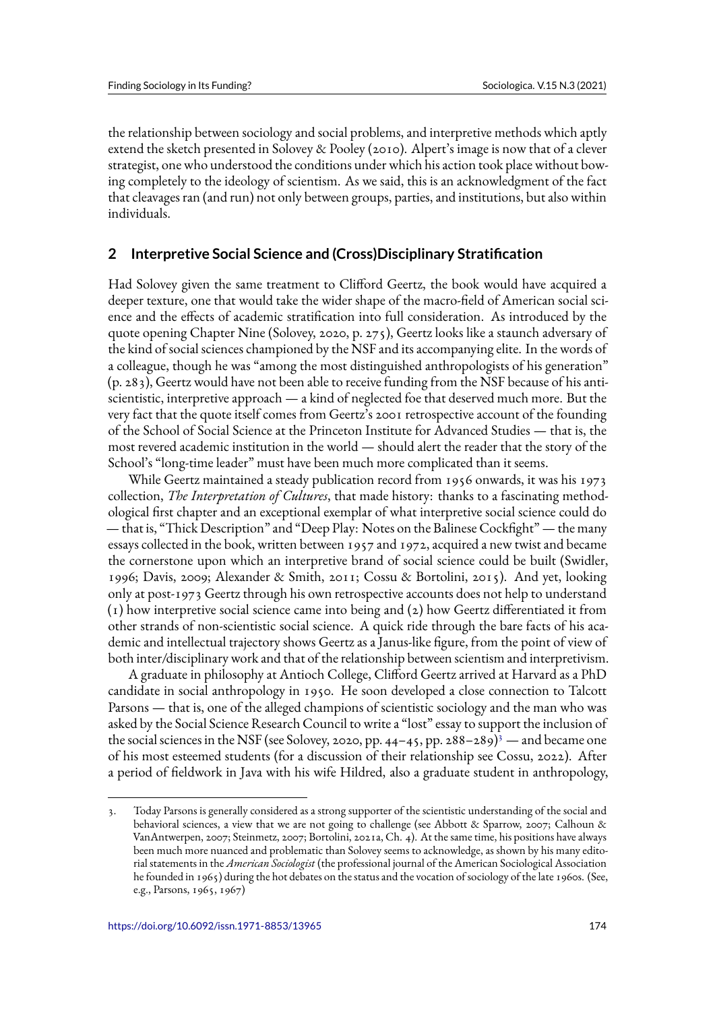the relationship between sociology and social problems, and interpretive methods which aptly extend the sketch presented in Solovey & Pooley (2010). Alpert's image is now that of a clever strategist, one who understood the conditions under which his action took place without bowing completely to the ideology of scientism. As we said, this is an acknowledgment of the fact that cleavages ran (and run) not only between groups, parties, and institutions, but also within individuals.

### **2 Interpretive Social Science and (Cross)Disciplinary Stratification**

Had Solovey given the same treatment to Clifford Geertz, the book would have acquired a deeper texture, one that would take the wider shape of the macro-field of American social science and the effects of academic stratification into full consideration. As introduced by the quote opening Chapter Nine (Solovey, 2020, p. 275), Geertz looks like a staunch adversary of the kind of social sciences championed by the NSF and its accompanying elite. In the words of a colleague, though he was "among the most distinguished anthropologists of his generation" (p. 283), Geertz would have not been able to receive funding from the NSF because of his antiscientistic, interpretive approach — a kind of neglected foe that deserved much more. But the very fact that the quote itself comes from Geertz's 2001 retrospective account of the founding of the School of Social Science at the Princeton Institute for Advanced Studies — that is, the most revered academic institution in the world — should alert the reader that the story of the School's "long-time leader" must have been much more complicated than it seems.

While Geertz maintained a steady publication record from 1956 onwards, it was his 1973 collection, *The Interpretation of Cultures*, that made history: thanks to a fascinating methodological first chapter and an exceptional exemplar of what interpretive social science could do — that is, "Thick Description" and "Deep Play: Notes on the Balinese Cockfight" — the many essays collected in the book, written between 1957 and 1972, acquired a new twist and became the cornerstone upon which an interpretive brand of social science could be built (Swidler, 1996; Davis, 2009; Alexander & Smith, 2011; Cossu & Bortolini, 2015). And yet, looking only at post-1973 Geertz through his own retrospective accounts does not help to understand (1) how interpretive social science came into being and (2) how Geertz differentiated it from other strands of non-scientistic social science. A quick ride through the bare facts of his academic and intellectual trajectory shows Geertz as a Janus-like figure, from the point of view of both inter/disciplinary work and that of the relationship between scientism and interpretivism.

A graduate in philosophy at Antioch College, Clifford Geertz arrived at Harvard as a PhD candidate in social anthropology in 1950. He soon developed a close connection to Talcott Parsons — that is, one of the alleged champions of scientistic sociology and the man who was asked by the Social Science Research Council to write a "lost" essay to support the inclusion of the social sciences in the NSF (see Solovey, 2020, pp. 44–45, pp. 288–289)<sup>3</sup> — and became one of his most esteemed students (for a discussion of their relationship see Cossu, 2022). After a period of fieldwork in Java with his wife Hildred, also a graduate student in anthropology,

<sup>3.</sup> Today Parsons is generally considered as a strong supporter of the scientistic understanding of the social and behavioral sciences, a view that we are not going to challenge (see Abbott & Sparrow, 2007; Calhoun & VanAntwerpen, 2007; Steinmetz, 2007; Bortolini, 2021a, Ch. 4). At the same time, his positions have always been much more nuanced and problematic than Solovey seems to acknowledge, as shown by his many editorial statements in the *American Sociologist* (the professional journal of the American Sociological Association he founded in 1965) during the hot debates on the status and the vocation of sociology of the late 1960s. (See, e.g., Parsons, 1965, 1967)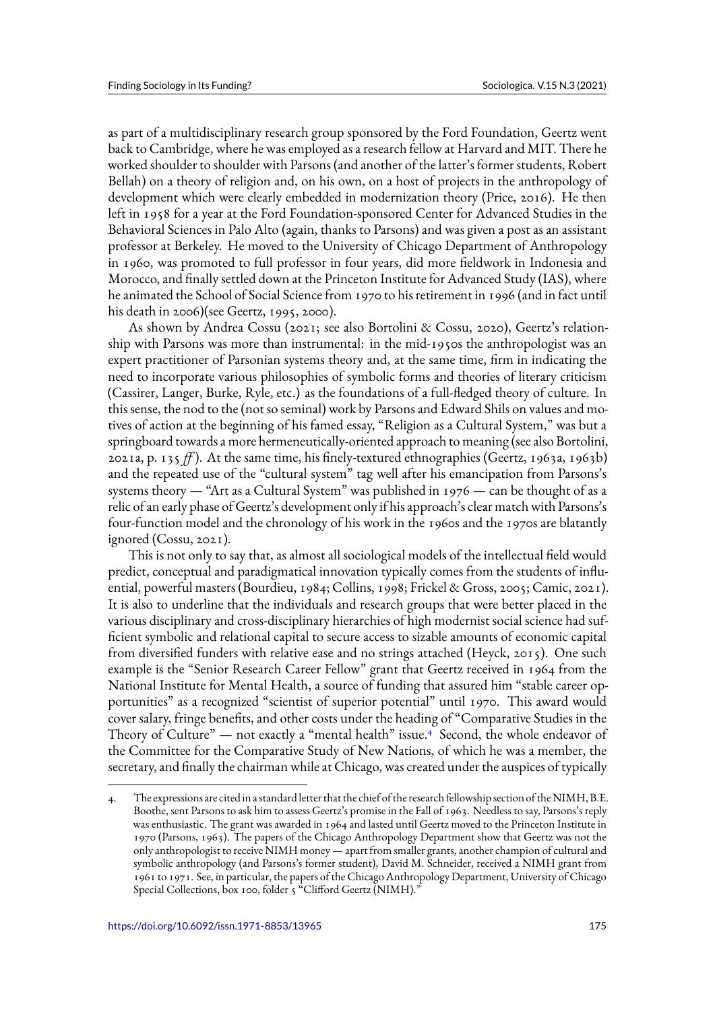as part of a multidisciplinary research group sponsored by the Ford Foundation, Geertz went back to Cambridge, where he was employed as a research fellow at Harvard and MIT. There he worked shoulder to shoulder with Parsons (and another of the latter's former students, Robert Bellah) on a theory of religion and, on his own, on a host of projects in the anthropology of development which were clearly embedded in modernization theory (Price, 2016). He then left in 1958 for a year at the Ford Foundation-sponsored Center for Advanced Studies in the Behavioral Sciences in Palo Alto (again, thanks to Parsons) and was given a post as an assistant professor at Berkeley. He moved to the University of Chicago Department of Anthropology in 1960, was promoted to full professor in four years, did more fieldwork in Indonesia and Morocco, and finally settled down at the Princeton Institute for Advanced Study (IAS), where he animated the School of Social Science from 1970 to his retirement in 1996 (and in fact until his death in 2006)(see Geertz, 1995, 2000).

As shown by Andrea Cossu (2021; see also Bortolini & Cossu, 2020), Geertz's relationship with Parsons was more than instrumental: in the mid-1950s the anthropologist was an expert practitioner of Parsonian systems theory and, at the same time, firm in indicating the need to incorporate various philosophies of symbolic forms and theories of literary criticism (Cassirer, Langer, Burke, Ryle, etc.) as the foundations of a full-fledged theory of culture. In this sense, the nod to the (not so seminal) work by Parsons and Edward Shils on values and motives of action at the beginning of his famed essay, "Religion as a Cultural System," was but a springboard towards a more hermeneutically-oriented approach to meaning (see also Bortolini, 2021a, p. 135 *ff* ). At the same time, his finely-textured ethnographies (Geertz, 1963a, 1963b) and the repeated use of the "cultural system" tag well after his emancipation from Parsons's systems theory  $-$  "Art as a Cultural System" was published in 1976  $-$  can be thought of as a relic of an early phase of Geertz's development only if his approach's clear match with Parsons's four-function model and the chronology of his work in the 1960s and the 1970s are blatantly ignored (Cossu, 2021).

This is not only to say that, as almost all sociological models of the intellectual field would predict, conceptual and paradigmatical innovation typically comes from the students of influential, powerful masters (Bourdieu, 1984; Collins, 1998; Frickel & Gross, 2005; Camic, 2021). It is also to underline that the individuals and research groups that were better placed in the various disciplinary and cross-disciplinary hierarchies of high modernist social science had sufficient symbolic and relational capital to secure access to sizable amounts of economic capital from diversified funders with relative ease and no strings attached (Heyck, 2015). One such example is the "Senior Research Career Fellow" grant that Geertz received in 1964 from the National Institute for Mental Health, a source of funding that assured him "stable career opportunities" as a recognized "scientist of superior potential" until 1970. This award would cover salary, fringe benefits, and other costs under the heading of "Comparative Studies in the Theory of Culture" — not exactly a "mental health" issue.<sup>4</sup> Second, the whole endeavor of the Committee for the Comparative Study of New Nations, of which he was a member, the secretary, and finally the chairman while at Chicago, was created under the auspices of typically

<sup>4.</sup> The expressions are cited in a standard letter that the chief of the research fellowship section of the NIMH, B.E. Boothe, sent Parsons to ask him to assess Geertz's promise in the Fall of 1963. Needless to say, Parsons's reply was enthusiastic. The grant was awarded in 1964 and lasted until Geertz moved to the Princeton Institute in 1970 (Parsons, 1963). The papers of the Chicago Anthropology Department show that Geertz was not the only anthropologist to receive NIMH money — apart from smaller grants, another champion of cultural and symbolic anthropology (and Parsons's former student), David M. Schneider, received a NIMH grant from 1961 to 1971. See, in particular, the papers of the Chicago Anthropology Department, University of Chicago Special Collections, box 100, folder 5 "Clifford Geertz (NIMH)."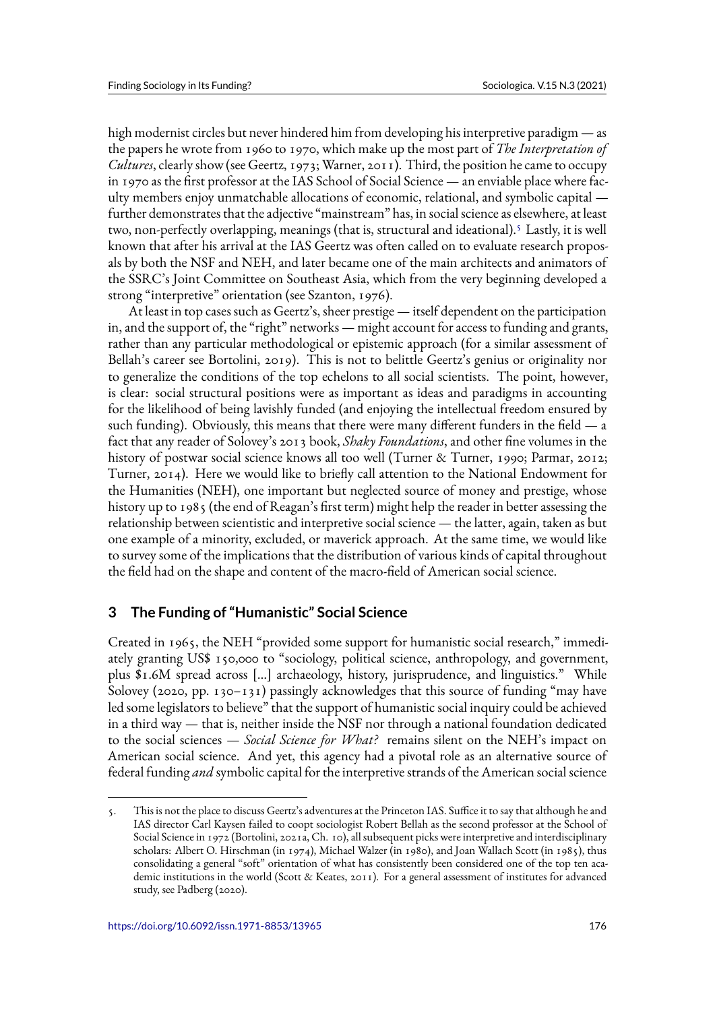high modernist circles but never hindered him from developing his interpretive paradigm — as the papers he wrote from 1960 to 1970, which make up the most part of *The Interpretation of Cultures*, clearly show (see Geertz, 1973; Warner, 2011). Third, the position he came to occupy in 1970 as the first professor at the IAS School of Social Science — an enviable place where faculty members enjoy unmatchable allocations of economic, relational, and symbolic capital further demonstrates that the adjective "mainstream" has, in social science as elsewhere, at least two, non-perfectly overlapping, meanings (that is, structural and ideational).<sup>5</sup> Lastly, it is well known that after his arrival at the IAS Geertz was often called on to evaluate research proposals by both the NSF and NEH, and later became one of the main architects and animators of the SSRC's Joint Committee on Southeast Asia, which from the very beginning developed a strong "interpretive" orientation (see Szanton, 1976).

At least in top cases such as Geertz's, sheer prestige — itself dependent on the participation in, and the support of, the "right" networks — might account for access to funding and grants, rather than any particular methodological or epistemic approach (for a similar assessment of Bellah's career see Bortolini, 2019). This is not to belittle Geertz's genius or originality nor to generalize the conditions of the top echelons to all social scientists. The point, however, is clear: social structural positions were as important as ideas and paradigms in accounting for the likelihood of being lavishly funded (and enjoying the intellectual freedom ensured by such funding). Obviously, this means that there were many different funders in the field  $-$  a fact that any reader of Solovey's 2013 book, *Shaky Foundations*, and other fine volumes in the history of postwar social science knows all too well (Turner & Turner, 1990; Parmar, 2012; Turner, 2014). Here we would like to briefly call attention to the National Endowment for the Humanities (NEH), one important but neglected source of money and prestige, whose history up to 1985 (the end of Reagan's first term) might help the reader in better assessing the relationship between scientistic and interpretive social science — the latter, again, taken as but one example of a minority, excluded, or maverick approach. At the same time, we would like to survey some of the implications that the distribution of various kinds of capital throughout the field had on the shape and content of the macro-field of American social science.

## **3 The Funding of "Humanistic" Social Science**

Created in 1965, the NEH "provided some support for humanistic social research," immediately granting US\$ 150,000 to "sociology, political science, anthropology, and government, plus \$1.6M spread across […] archaeology, history, jurisprudence, and linguistics." While Solovey (2020, pp. 130–131) passingly acknowledges that this source of funding "may have led some legislators to believe" that the support of humanistic social inquiry could be achieved in a third way — that is, neither inside the NSF nor through a national foundation dedicated to the social sciences — *Social Science for What?* remains silent on the NEH's impact on American social science. And yet, this agency had a pivotal role as an alternative source of federal funding *and* symbolic capital for the interpretive strands of the American social science

<sup>5.</sup> This is not the place to discuss Geertz's adventures at the Princeton IAS. Suffice it to say that although he and IAS director Carl Kaysen failed to coopt sociologist Robert Bellah as the second professor at the School of Social Science in 1972 (Bortolini, 2021a, Ch. 10), all subsequent picks were interpretive and interdisciplinary scholars: Albert O. Hirschman (in 1974), Michael Walzer (in 1980), and Joan Wallach Scott (in 1985), thus consolidating a general "soft" orientation of what has consistently been considered one of the top ten academic institutions in the world (Scott & Keates, 2011). For a general assessment of institutes for advanced study, see Padberg (2020).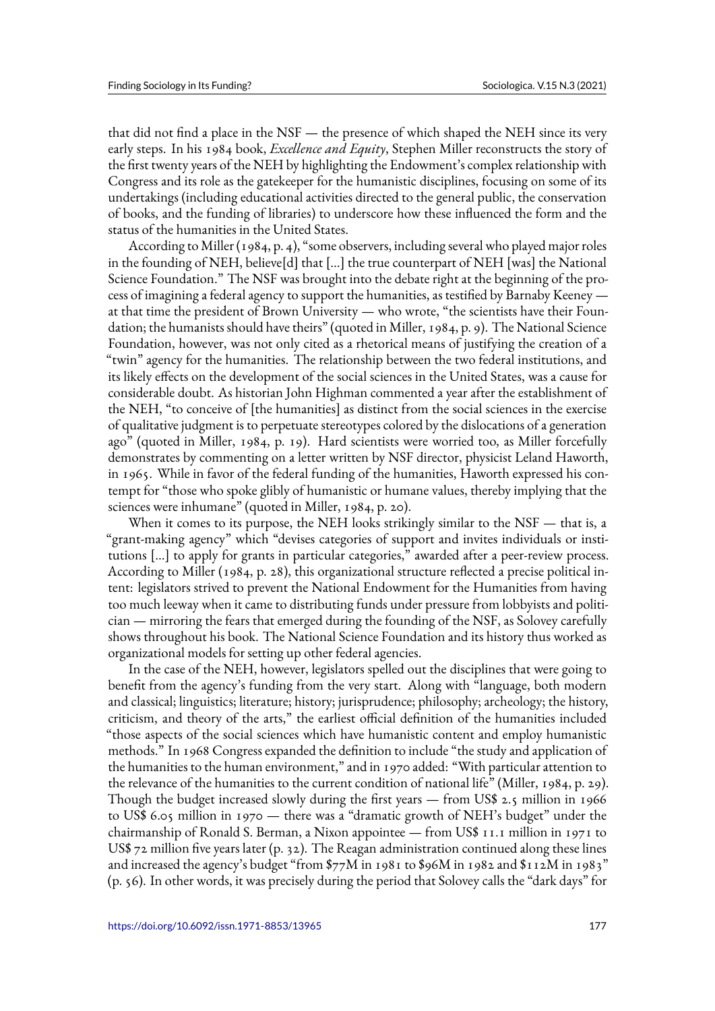that did not find a place in the NSF — the presence of which shaped the NEH since its very early steps. In his 1984 book, *Excellence and Equity*, Stephen Miller reconstructs the story of the first twenty years of the NEH by highlighting the Endowment's complex relationship with Congress and its role as the gatekeeper for the humanistic disciplines, focusing on some of its undertakings (including educational activities directed to the general public, the conservation of books, and the funding of libraries) to underscore how these influenced the form and the status of the humanities in the United States.

According to Miller (1984, p. 4), "some observers, including several who played major roles in the founding of NEH, believe[d] that […] the true counterpart of NEH [was] the National Science Foundation." The NSF was brought into the debate right at the beginning of the process of imagining a federal agency to support the humanities, as testified by Barnaby Keeney at that time the president of Brown University — who wrote, "the scientists have their Foundation; the humanists should have theirs" (quoted in Miller, 1984, p. 9). The National Science Foundation, however, was not only cited as a rhetorical means of justifying the creation of a "twin" agency for the humanities. The relationship between the two federal institutions, and its likely effects on the development of the social sciences in the United States, was a cause for considerable doubt. As historian John Highman commented a year after the establishment of the NEH, "to conceive of [the humanities] as distinct from the social sciences in the exercise of qualitative judgment is to perpetuate stereotypes colored by the dislocations of a generation ago" (quoted in Miller, 1984, p. 19). Hard scientists were worried too, as Miller forcefully demonstrates by commenting on a letter written by NSF director, physicist Leland Haworth, in 1965. While in favor of the federal funding of the humanities, Haworth expressed his contempt for "those who spoke glibly of humanistic or humane values, thereby implying that the sciences were inhumane" (quoted in Miller, 1984, p. 20).

When it comes to its purpose, the NEH looks strikingly similar to the NSF — that is, a "grant-making agency" which "devises categories of support and invites individuals or institutions […] to apply for grants in particular categories," awarded after a peer-review process. According to Miller (1984, p. 28), this organizational structure reflected a precise political intent: legislators strived to prevent the National Endowment for the Humanities from having too much leeway when it came to distributing funds under pressure from lobbyists and politician — mirroring the fears that emerged during the founding of the NSF, as Solovey carefully shows throughout his book. The National Science Foundation and its history thus worked as organizational models for setting up other federal agencies.

In the case of the NEH, however, legislators spelled out the disciplines that were going to benefit from the agency's funding from the very start. Along with "language, both modern and classical; linguistics; literature; history; jurisprudence; philosophy; archeology; the history, criticism, and theory of the arts," the earliest official definition of the humanities included "those aspects of the social sciences which have humanistic content and employ humanistic methods." In 1968 Congress expanded the definition to include "the study and application of the humanities to the human environment," and in 1970 added: "With particular attention to the relevance of the humanities to the current condition of national life" (Miller, 1984, p. 29). Though the budget increased slowly during the first years — from US\$ 2.5 million in 1966 to US\$ 6.05 million in 1970 — there was a "dramatic growth of NEH's budget" under the chairmanship of Ronald S. Berman, a Nixon appointee — from US\$ 11.1 million in 1971 to US\$ 72 million five years later (p. 32). The Reagan administration continued along these lines and increased the agency's budget "from \$77M in 1981 to \$96M in 1982 and \$112M in 1983" (p. 56). In other words, it was precisely during the period that Solovey calls the "dark days" for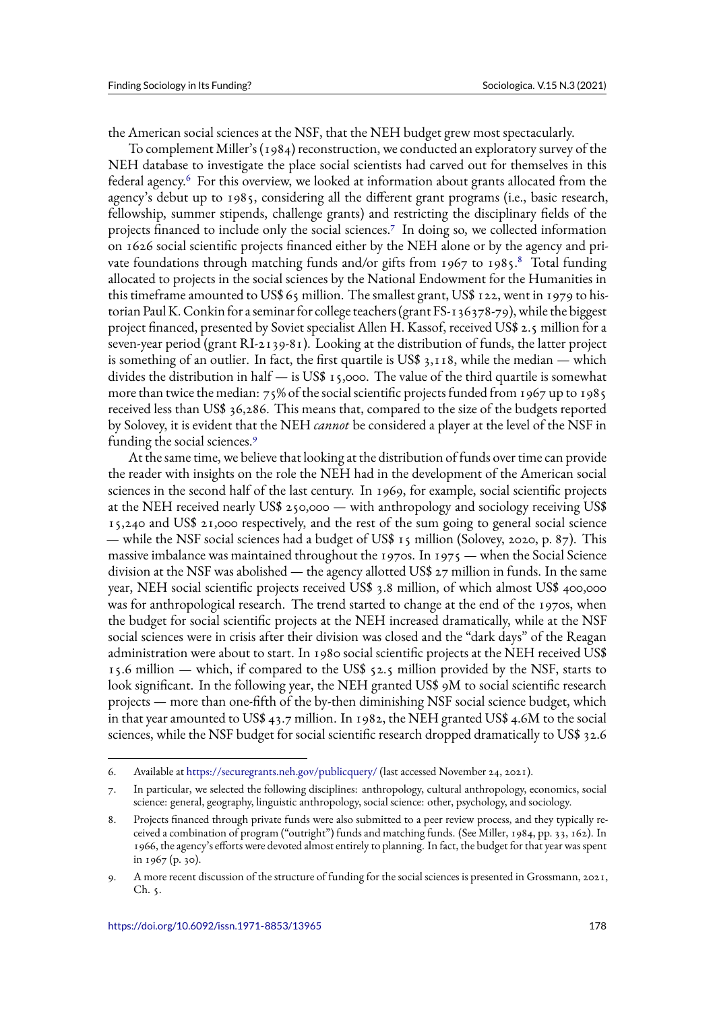the American social sciences at the NSF, that the NEH budget grew most spectacularly.

To complement Miller's (1984) reconstruction, we conducted an exploratory survey of the NEH database to investigate the place social scientists had carved out for themselves in this federal agency.<sup>6</sup> For this overview, we looked at information about grants allocated from the agency's debut up to 1985, considering all the different grant programs (i.e., basic research, fellowship, summer stipends, challenge grants) and restricting the disciplinary fields of the projects financed to include only the social sciences.<sup>7</sup> In doing so, we collected information on 1626 social scientific projects financed either by the NEH alone or by the agency and private foundations through matching funds and/or gifts from 1967 to 1985.<sup>8</sup> Total funding allocated to projects in the social sciences by the National Endowment for the Humanities in this timeframe amounted to US\$ 65 million. The smallest grant, US\$ 122, went in 1979 to historian Paul K. Conkin for a seminar for college teachers (grant FS-136378-79), while the biggest project financed, presented by Soviet specialist Allen H. Kassof, received US\$ 2.5 million for a seven-year period (grant RI-2139-81). Looking at the distribution of funds, the latter project is something of an outlier. In fact, the first quartile is US\$ 3,118, while the median — which divides the distribution in half — is US\$ 15,000. The value of the third quartile is somewhat more than twice the median: 75% of the social scientific projects funded from 1967 up to 1985 received less than US\$ 36,286. This means that, compared to the size of the budgets reported by Solovey, it is evident that the NEH *cannot* be considered a player at the level of the NSF in funding the social sciences.<sup>9</sup>

At the same time, we believe that looking at the distribution of funds over time can provide the reader with insights on the role the NEH had in the development of the American social sciences in the second half of the last century. In 1969, for example, social scientific projects at the NEH received nearly US\$ 250,000 — with anthropology and sociology receiving US\$ 15,240 and US\$ 21,000 respectively, and the rest of the sum going to general social science — while the NSF social sciences had a budget of US\$ 15 million (Solovey, 2020, p. 87). This massive imbalance was maintained throughout the 1970s. In 1975 — when the Social Science division at the NSF was abolished — the agency allotted US\$ 27 million in funds. In the same year, NEH social scientific projects received US\$ 3.8 million, of which almost US\$ 400,000 was for anthropological research. The trend started to change at the end of the 1970s, when the budget for social scientific projects at the NEH increased dramatically, while at the NSF social sciences were in crisis after their division was closed and the "dark days" of the Reagan administration were about to start. In 1980 social scientific projects at the NEH received US\$ 15.6 million — which, if compared to the US\$ 52.5 million provided by the NSF, starts to look significant. In the following year, the NEH granted US\$ 9M to social scientific research projects — more than one-fifth of the by-then diminishing NSF social science budget, which in that year amounted to US\$ 43.7 million. In 1982, the NEH granted US\$ 4.6M to the social sciences, while the NSF budget for social scientific research dropped dramatically to US\$ 32.6

<sup>6.</sup> Available at https://securegrants.neh.gov/publicquery/ (last accessed November 24, 2021).

<sup>7.</sup> In particular, we selected the following disciplines: anthropology, cultural anthropology, economics, social science: general, geography, linguistic anthropology, social science: other, psychology, and sociology.

<sup>8.</sup> Projects financed through private funds were also submitted to a peer review process, and they typically received a co[mbination of program \("outright"\) funds and](https://securegrants.neh.gov/publicquery/) matching funds. (See Miller, 1984, pp. 33, 162). In 1966, the agency's efforts were devoted almost entirely to planning. In fact, the budget for that year was spent in 1967 (p. 30).

<sup>9.</sup> A more recent discussion of the structure of funding for the social sciences is presented in Grossmann, 2021, Ch. 5.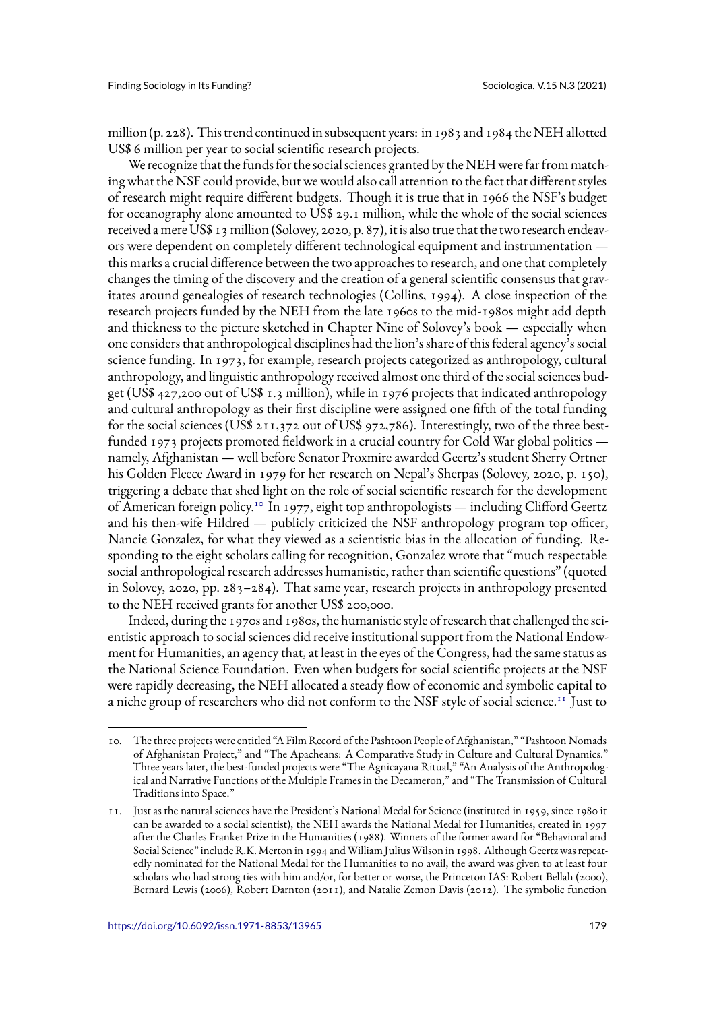million (p. 228). This trend continued in subsequent years: in 1983 and 1984 the NEH allotted US\$ 6 million per year to social scientific research projects.

We recognize that the funds for the social sciences granted by the NEH were far from matching what the NSF could provide, but we would also call attention to the fact that different styles of research might require different budgets. Though it is true that in 1966 the NSF's budget for oceanography alone amounted to US\$ 29.1 million, while the whole of the social sciences received a mere US\$ 13 million (Solovey, 2020, p. 87), it is also true that the two research endeavors were dependent on completely different technological equipment and instrumentation this marks a crucial difference between the two approaches to research, and one that completely changes the timing of the discovery and the creation of a general scientific consensus that gravitates around genealogies of research technologies (Collins, 1994). A close inspection of the research projects funded by the NEH from the late 1960s to the mid-1980s might add depth and thickness to the picture sketched in Chapter Nine of Solovey's book — especially when one considers that anthropological disciplines had the lion's share of this federal agency's social science funding. In 1973, for example, research projects categorized as anthropology, cultural anthropology, and linguistic anthropology received almost one third of the social sciences budget (US\$ 427,200 out of US\$ 1.3 million), while in 1976 projects that indicated anthropology and cultural anthropology as their first discipline were assigned one fifth of the total funding for the social sciences (US\$  $211,372$  out of US\$ 972,786). Interestingly, two of the three bestfunded 1973 projects promoted fieldwork in a crucial country for Cold War global politics namely, Afghanistan — well before Senator Proxmire awarded Geertz's student Sherry Ortner his Golden Fleece Award in 1979 for her research on Nepal's Sherpas (Solovey, 2020, p. 150), triggering a debate that shed light on the role of social scientific research for the development of American foreign policy.<sup>10</sup> In 1977, eight top anthropologists — including Clifford Geertz and his then-wife Hildred — publicly criticized the NSF anthropology program top officer, Nancie Gonzalez, for what they viewed as a scientistic bias in the allocation of funding. Responding to the eight scholars calling for recognition, Gonzalez wrote that "much respectable social anthropological research addresses humanistic, rather than scientific questions" (quoted in Solovey, 2020, pp. 283–284). That same year, research projects in anthropology presented to the NEH received grants for another US\$ 200,000.

Indeed, during the 1970s and 1980s, the humanistic style of research that challenged the scientistic approach to social sciences did receive institutional support from the National Endowment for Humanities, an agency that, at least in the eyes of the Congress, had the same status as the National Science Foundation. Even when budgets for social scientific projects at the NSF were rapidly decreasing, the NEH allocated a steady flow of economic and symbolic capital to a niche group of researchers who did not conform to the NSF style of social science.<sup>11</sup> Just to

<sup>10.</sup> The three projects were entitled "A Film Record of the Pashtoon People of Afghanistan," "Pashtoon Nomads of Afghanistan Project," and "The Apacheans: A Comparative Study in Culture and Cultural Dynamics." Three years later, the best-funded projects were "The Agnicayana Ritual," "An Analysis of the Anthropological and Narrative Functions of the Multiple Frames in the Decameron," and "The Transmission of Cultural Traditions into Space."

<sup>11.</sup> Just as the natural sciences have the President's National Medal for Science (instituted in 1959, since 1980 it can be awarded to a social scientist), the NEH awards the National Medal for Humanities, created in 1997 after the Charles Franker Prize in the Humanities (1988). Winners of the former award for "Behavioral and Social Science" include R.K. Merton in 1994 and William Julius Wilson in 1998. Although Geertz was repeatedly nominated for the National Medal for the Humanities to no avail, the award was given to at least four scholars who had strong ties with him and/or, for better or worse, the Princeton IAS: Robert Bellah (2000), Bernard Lewis (2006), Robert Darnton (2011), and Natalie Zemon Davis (2012). The symbolic function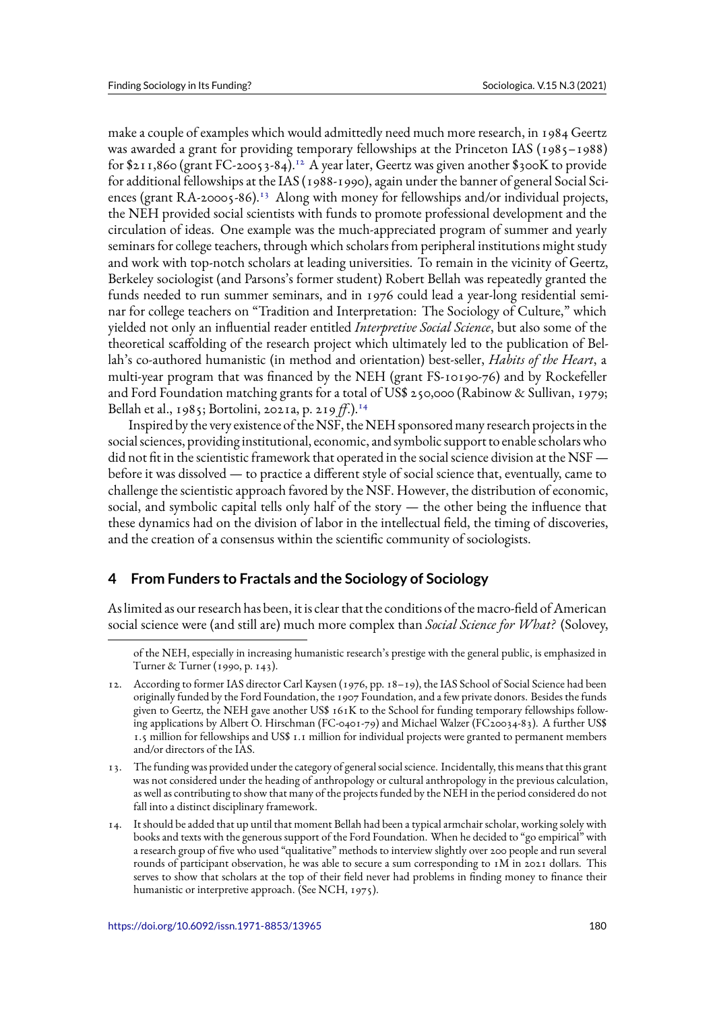make a couple of examples which would admittedly need much more research, in 1984 Geertz was awarded a grant for providing temporary fellowships at the Princeton IAS (1985–1988) for  $211,860$  (grant FC-20053-84).<sup>12</sup> A year later, Geertz was given another  $300K$  to provide for additional fellowships at the IAS (1988-1990), again under the banner of general Social Sciences (grant RA-20005-86).<sup>13</sup> Along with money for fellowships and/or individual projects, the NEH provided social scientists with funds to promote professional development and the circulation of ideas. One example was the much-appreciated program of summer and yearly seminars for college teachers, through which scholars from peripheral institutions might study and work with top-notch scholars at leading universities. To remain in the vicinity of Geertz, Berkeley sociologist (and Parsons's former student) Robert Bellah was repeatedly granted the funds needed to run summer seminars, and in 1976 could lead a year-long residential seminar for college teachers on "Tradition and Interpretation: The Sociology of Culture," which yielded not only an influential reader entitled *Interpretive Social Science*, but also some of the theoretical scaffolding of the research project which ultimately led to the publication of Bellah's co-authored humanistic (in method and orientation) best-seller, *Habits of the Heart*, a multi-year program that was financed by the NEH (grant FS-10190-76) and by Rockefeller and Ford Foundation matching grants for a total of US\$ 250,000 (Rabinow & Sullivan, 1979; Bellah et al., 1985; Bortolini, 2021a, p. 219 *ff*.).<sup>14</sup>

Inspired by the very existence of the NSF, the NEH sponsored many research projects in the social sciences, providing institutional, economic, and symbolic support to enable scholars who did not fit in the scientistic framework that operated in the social science division at the  $\text{NSF}$  before it was dissolved — to practice a different style of social science that, eventually, came to challenge the scientistic approach favored by the NSF. However, the distribution of economic, social, and symbolic capital tells only half of the story — the other being the influence that these dynamics had on the division of labor in the intellectual field, the timing of discoveries, and the creation of a consensus within the scientific community of sociologists.

# **4 From Funders to Fractals and the Sociology of Sociology**

As limited as our research has been, it is clear that the conditions of the macro-field of American social science were (and still are) much more complex than *Social Science for What?* (Solovey,

of the NEH, especially in increasing humanistic research's prestige with the general public, is emphasized in Turner & Turner (1990, p. 143).

<sup>12.</sup> According to former IAS director Carl Kaysen (1976, pp. 18–19), the IAS School of Social Science had been originally funded by the Ford Foundation, the 1907 Foundation, and a few private donors. Besides the funds given to Geertz, the NEH gave another US\$ 161K to the School for funding temporary fellowships following applications by Albert O. Hirschman (FC-0401-79) and Michael Walzer (FC20034-83). A further US\$ 1.5 million for fellowships and US\$ 1.1 million for individual projects were granted to permanent members and/or directors of the IAS.

<sup>13.</sup> The funding was provided under the category of general social science. Incidentally, this means that this grant was not considered under the heading of anthropology or cultural anthropology in the previous calculation, as well as contributing to show that many of the projects funded by the NEH in the period considered do not fall into a distinct disciplinary framework.

<sup>14.</sup> It should be added that up until that moment Bellah had been a typical armchair scholar, working solely with books and texts with the generous support of the Ford Foundation. When he decided to "go empirical" with a research group of five who used "qualitative" methods to interview slightly over 200 people and run several rounds of participant observation, he was able to secure a sum corresponding to 1M in 2021 dollars. This serves to show that scholars at the top of their field never had problems in finding money to finance their humanistic or interpretive approach. (See NCH, 1975).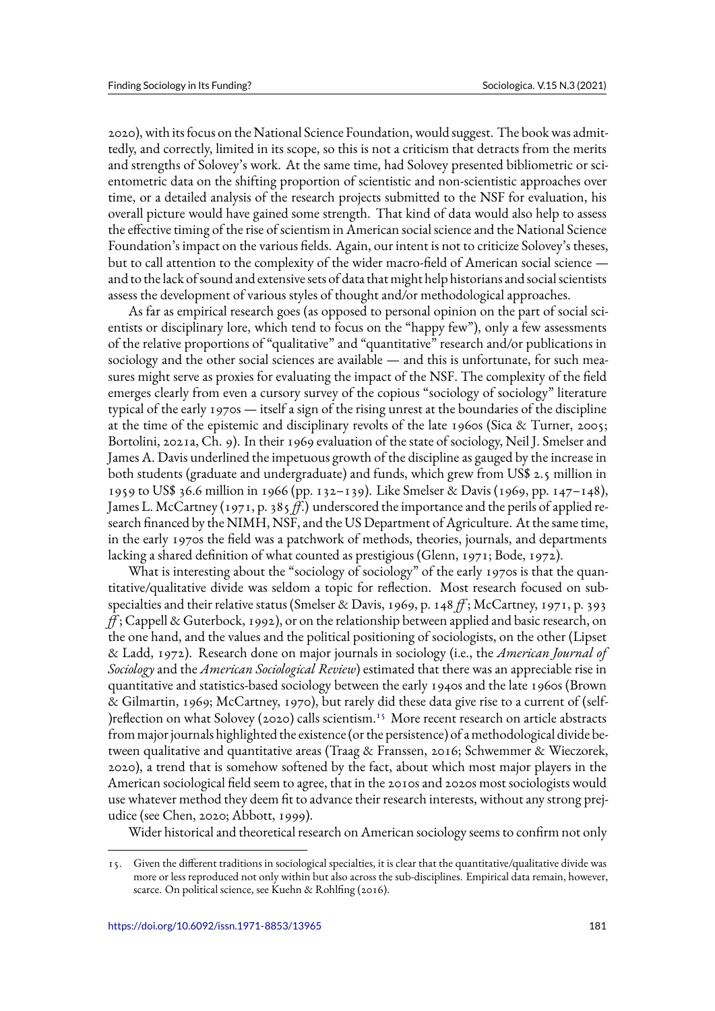2020), with its focus on the National Science Foundation, would suggest. The book was admittedly, and correctly, limited in its scope, so this is not a criticism that detracts from the merits and strengths of Solovey's work. At the same time, had Solovey presented bibliometric or scientometric data on the shifting proportion of scientistic and non-scientistic approaches over time, or a detailed analysis of the research projects submitted to the NSF for evaluation, his overall picture would have gained some strength. That kind of data would also help to assess the effective timing of the rise of scientism in American social science and the National Science Foundation's impact on the various fields. Again, our intent is not to criticize Solovey's theses, but to call attention to the complexity of the wider macro-field of American social science and to the lack of sound and extensive sets of data that might help historians and social scientists assess the development of various styles of thought and/or methodological approaches.

As far as empirical research goes (as opposed to personal opinion on the part of social scientists or disciplinary lore, which tend to focus on the "happy few"), only a few assessments of the relative proportions of "qualitative" and "quantitative" research and/or publications in sociology and the other social sciences are available — and this is unfortunate, for such measures might serve as proxies for evaluating the impact of the NSF. The complexity of the field emerges clearly from even a cursory survey of the copious "sociology of sociology" literature typical of the early 1970s — itself a sign of the rising unrest at the boundaries of the discipline at the time of the epistemic and disciplinary revolts of the late 1960s (Sica & Turner, 2005; Bortolini, 2021a, Ch. 9). In their 1969 evaluation of the state of sociology, Neil J. Smelser and James A. Davis underlined the impetuous growth of the discipline as gauged by the increase in both students (graduate and undergraduate) and funds, which grew from US\$ 2.5 million in 1959 to US\$ 36.6 million in 1966 (pp. 132–139). Like Smelser & Davis (1969, pp. 147–148), James L. McCartney (1971, p. 385 *ff*.) underscored the importance and the perils of applied research financed by the NIMH, NSF, and the US Department of Agriculture. At the same time, in the early 1970s the field was a patchwork of methods, theories, journals, and departments lacking a shared definition of what counted as prestigious (Glenn, 1971; Bode, 1972).

What is interesting about the "sociology of sociology" of the early 1970s is that the quantitative/qualitative divide was seldom a topic for reflection. Most research focused on subspecialties and their relative status (Smelser & Davis, 1969, p. 148 *ff* ; McCartney, 1971, p. 393 *ff* ; Cappell & Guterbock, 1992), or on the relationship between applied and basic research, on the one hand, and the values and the political positioning of sociologists, on the other (Lipset & Ladd, 1972). Research done on major journals in sociology (i.e., the *American Journal of Sociology* and the *American Sociological Review*) estimated that there was an appreciable rise in quantitative and statistics-based sociology between the early 1940s and the late 1960s (Brown & Gilmartin, 1969; McCartney, 1970), but rarely did these data give rise to a current of (self- ) reflection on what Solovey (2020) calls scientism.<sup>15</sup> More recent research on article abstracts from major journals highlighted the existence (or the persistence) of a methodological divide between qualitative and quantitative areas (Traag & Franssen, 2016; Schwemmer & Wieczorek, 2020), a trend that is somehow softened by the fact, about which most major players in the American sociological field seem to agree, that in the 2010s and 2020s most sociologists would use whatever method they deem fit to advance their research interests, without any strong prejudice (see Chen, 2020; Abbott, 1999).

Wider historical and theoretical research on American sociology seems to confirm not only

<sup>15.</sup> Given the different traditions in sociological specialties, it is clear that the quantitative/qualitative divide was more or less reproduced not only within but also across the sub-disciplines. Empirical data remain, however, scarce. On political science, see Kuehn & Rohlfing (2016).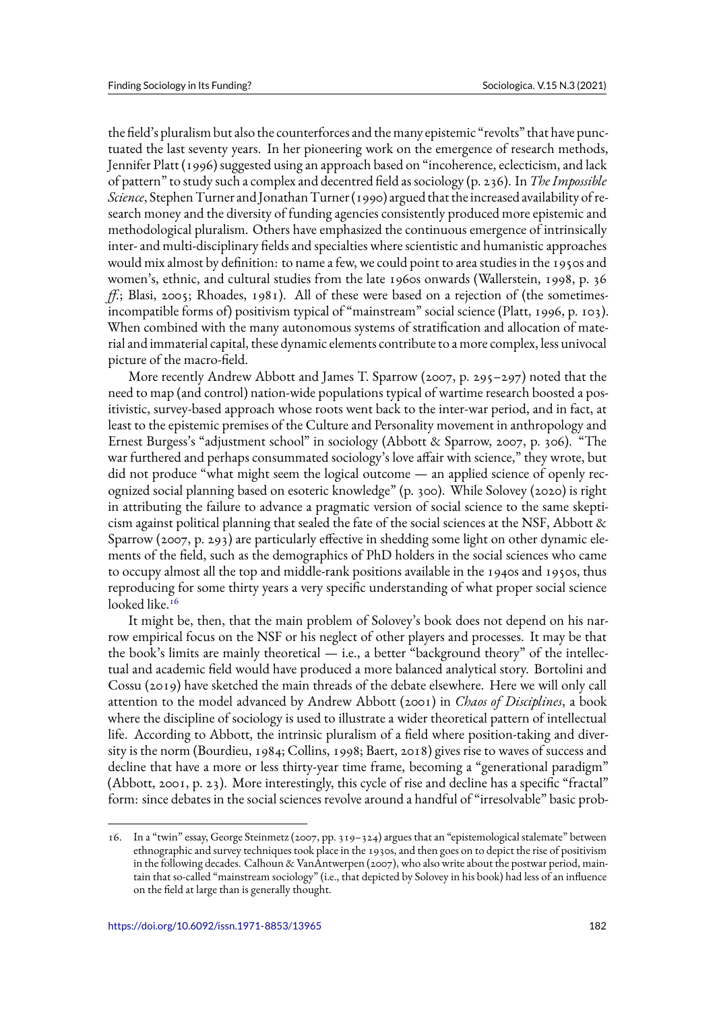the field's pluralism but also the counterforces and the many epistemic "revolts" that have punctuated the last seventy years. In her pioneering work on the emergence of research methods, Jennifer Platt (1996) suggested using an approach based on "incoherence, eclecticism, and lack of pattern" to study such a complex and decentred field as sociology (p. 236). In *The Impossible Science*, Stephen Turner and Jonathan Turner (1990) argued that the increased availability of research money and the diversity of funding agencies consistently produced more epistemic and methodological pluralism. Others have emphasized the continuous emergence of intrinsically inter- and multi-disciplinary fields and specialties where scientistic and humanistic approaches would mix almost by definition: to name a few, we could point to area studies in the 1950s and women's, ethnic, and cultural studies from the late 1960s onwards (Wallerstein, 1998, p. 36 *ff.*; Blasi, 2005; Rhoades, 1981). All of these were based on a rejection of (the sometimesincompatible forms of) positivism typical of "mainstream" social science (Platt, 1996, p. 103). When combined with the many autonomous systems of stratification and allocation of material and immaterial capital, these dynamic elements contribute to a more complex, less univocal picture of the macro-field.

More recently Andrew Abbott and James T. Sparrow (2007, p. 295–297) noted that the need to map (and control) nation-wide populations typical of wartime research boosted a positivistic, survey-based approach whose roots went back to the inter-war period, and in fact, at least to the epistemic premises of the Culture and Personality movement in anthropology and Ernest Burgess's "adjustment school" in sociology (Abbott & Sparrow, 2007, p. 306). "The war furthered and perhaps consummated sociology's love affair with science," they wrote, but did not produce "what might seem the logical outcome — an applied science of openly recognized social planning based on esoteric knowledge" (p. 300). While Solovey (2020) is right in attributing the failure to advance a pragmatic version of social science to the same skepticism against political planning that sealed the fate of the social sciences at the NSF, Abbott  $\&$ Sparrow (2007, p. 293) are particularly effective in shedding some light on other dynamic elements of the field, such as the demographics of PhD holders in the social sciences who came to occupy almost all the top and middle-rank positions available in the 1940s and 1950s, thus reproducing for some thirty years a very specific understanding of what proper social science looked like.<sup>16</sup>

It might be, then, that the main problem of Solovey's book does not depend on his narrow empirical focus on the NSF or his neglect of other players and processes. It may be that the book's limits are mainly theoretical — i.e., a better "background theory" of the intellectual and academic field would have produced a more balanced analytical story. Bortolini and Cossu (2019) have sketched the main threads of the debate elsewhere. Here we will only call attention to the model advanced by Andrew Abbott (2001) in *Chaos of Disciplines*, a book where the discipline of sociology is used to illustrate a wider theoretical pattern of intellectual life. According to Abbott, the intrinsic pluralism of a field where position-taking and diversity is the norm (Bourdieu, 1984; Collins, 1998; Baert, 2018) gives rise to waves of success and decline that have a more or less thirty-year time frame, becoming a "generational paradigm" (Abbott, 2001, p. 23). More interestingly, this cycle of rise and decline has a specific "fractal" form: since debates in the social sciences revolve around a handful of "irresolvable" basic prob-

<sup>16.</sup> In a "twin" essay, George Steinmetz (2007, pp. 319–324) argues that an "epistemological stalemate" between ethnographic and survey techniques took place in the 1930s, and then goes on to depict the rise of positivism in the following decades. Calhoun & VanAntwerpen (2007), who also write about the postwar period, maintain that so-called "mainstream sociology" (i.e., that depicted by Solovey in his book) had less of an influence on the field at large than is generally thought.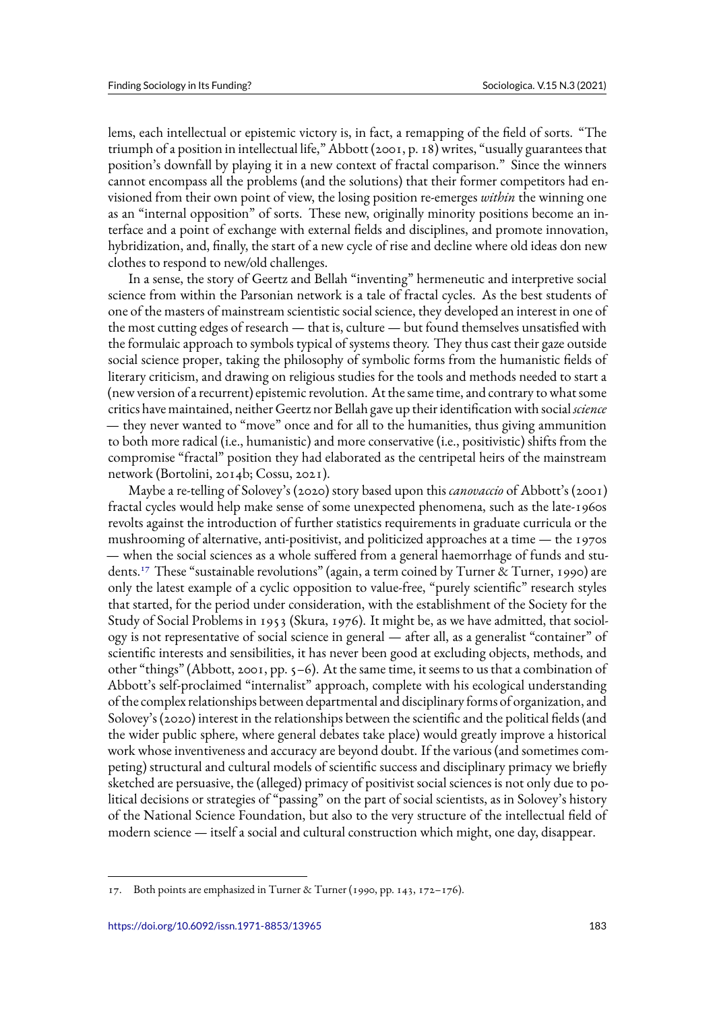lems, each intellectual or epistemic victory is, in fact, a remapping of the field of sorts. "The triumph of a position in intellectual life," Abbott (2001, p. 18) writes, "usually guarantees that position's downfall by playing it in a new context of fractal comparison." Since the winners cannot encompass all the problems (and the solutions) that their former competitors had envisioned from their own point of view, the losing position re-emerges *within* the winning one as an "internal opposition" of sorts. These new, originally minority positions become an interface and a point of exchange with external fields and disciplines, and promote innovation, hybridization, and, finally, the start of a new cycle of rise and decline where old ideas don new clothes to respond to new/old challenges.

In a sense, the story of Geertz and Bellah "inventing" hermeneutic and interpretive social science from within the Parsonian network is a tale of fractal cycles. As the best students of one of the masters of mainstream scientistic social science, they developed an interest in one of the most cutting edges of research — that is, culture — but found themselves unsatisfied with the formulaic approach to symbols typical of systems theory. They thus cast their gaze outside social science proper, taking the philosophy of symbolic forms from the humanistic fields of literary criticism, and drawing on religious studies for the tools and methods needed to start a (new version of a recurrent) epistemic revolution. At the same time, and contrary to what some critics have maintained, neither Geertz nor Bellah gave up their identification with social *science* — they never wanted to "move" once and for all to the humanities, thus giving ammunition to both more radical (i.e., humanistic) and more conservative (i.e., positivistic) shifts from the compromise "fractal" position they had elaborated as the centripetal heirs of the mainstream network (Bortolini, 2014b; Cossu, 2021).

Maybe a re-telling of Solovey's (2020) story based upon this *canovaccio* of Abbott's (2001) fractal cycles would help make sense of some unexpected phenomena, such as the late-1960s revolts against the introduction of further statistics requirements in graduate curricula or the mushrooming of alternative, anti-positivist, and politicized approaches at a time — the 1970s — when the social sciences as a whole suffered from a general haemorrhage of funds and students.<sup>17</sup> These "sustainable revolutions" (again, a term coined by Turner & Turner, 1990) are only the latest example of a cyclic opposition to value-free, "purely scientific" research styles that started, for the period under consideration, with the establishment of the Society for the Study of Social Problems in 1953 (Skura, 1976). It might be, as we have admitted, that sociology is not representative of social science in general — after all, as a generalist "container" of scientific interests and sensibilities, it has never been good at excluding objects, methods, and other "things" (Abbott, 2001, pp.  $5-6$ ). At the same time, it seems to us that a combination of Abbott's self-proclaimed "internalist" approach, complete with his ecological understanding of the complex relationships between departmental and disciplinary forms of organization, and Solovey's (2020) interest in the relationships between the scientific and the political fields (and the wider public sphere, where general debates take place) would greatly improve a historical work whose inventiveness and accuracy are beyond doubt. If the various (and sometimes competing) structural and cultural models of scientific success and disciplinary primacy we briefly sketched are persuasive, the (alleged) primacy of positivist social sciences is not only due to political decisions or strategies of "passing" on the part of social scientists, as in Solovey's history of the National Science Foundation, but also to the very structure of the intellectual field of modern science — itself a social and cultural construction which might, one day, disappear.

<sup>17.</sup> Both points are emphasized in Turner & Turner (1990, pp. 143, 172–176).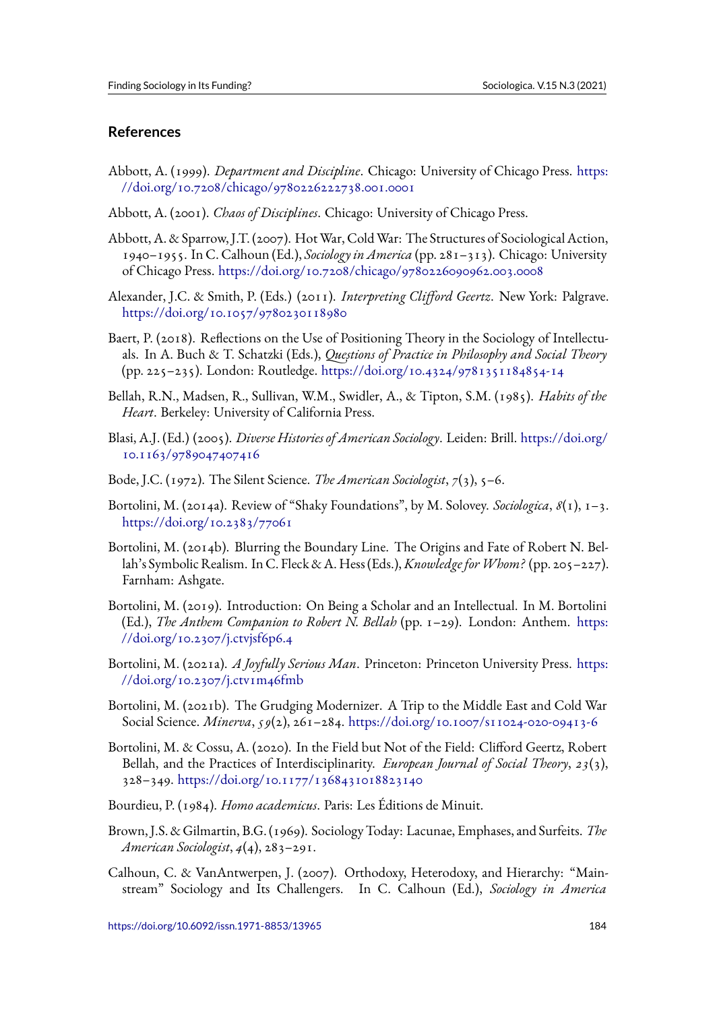# **References**

- Abbott, A. (1999). *Department and Discipline*. Chicago: University of Chicago Press. https: //doi.org/10.7208/chicago/9780226222738.001.0001
- Abbott, A. (2001). *Chaos of Disciplines*. Chicago: University of Chicago Press.
- A[bbott, A. & Sparrow, J.T. \(2007\). Hot War, Cold War: Th](https://doi.org/10.7208/chicago/9780226222738.001.0001)e Structures of Sociological [Action,](https://doi.org/10.7208/chicago/9780226222738.001.0001) 1940–1955. In C. Calhoun (Ed.), *Sociology in America* (pp. 281–313). Chicago: University of Chicago Press. https://doi.org/10.7208/chicago/9780226090962.003.0008
- Alexander, J.C. & Smith, P. (Eds.) (2011). *Interpreting Clifford Geertz*. New York: Palgrave. https://doi.org/10.1057/9780230118980
- Baert, P. (2018). Re[flections on the Use of Positioning Theory in the Sociology o](https://doi.org/10.7208/chicago/9780226090962.003.0008)f Intellectuals. In A. Buch & T. Schatzki (Eds.), *Questions of Practice in Philosophy and Social Theory* [\(pp. 225–235\). London: Routledge.](https://doi.org/10.1057/9780230118980) https://doi.org/10.4324/9781351184854-14
- Bellah, R.N., Madsen, R., Sullivan, W.M., Swidler, A., & Tipton, S.M. (1985). *Habits of the Heart*. Berkeley: University of California Press.
- Blasi, A.J. (Ed.) (2005). *Diverse Historie[s of American Sociology](https://doi.org/10.4324/9781351184854-14)*. Leiden: Brill. https://doi.org/ 10.1163/9789047407416
- Bode, J.C. (1972). The Silent Science. *The American Sociologist*, *7*(3), 5–6.
- B[ortolini, M. \(2014a\). Revie](https://doi.org/10.1163/9789047407416)w of "Shaky Foundations", by M. Solovey. *Sociologica*, *8*[\(1\), 1–3.](https://doi.org/10.1163/9789047407416) https://doi.org/10.2383/77061
- Bortolini, M. (2014b). Blurring the Boundary Line. The Origins and Fate of Robert N. Bellah's Symbolic Realism. In C. Fleck & A. Hess (Eds.),*Knowledge forWhom?* (pp. 205–227). [Farnham: Ashgate.](https://doi.org/10.2383/77061)
- Bortolini, M. (2019). Introduction: On Being a Scholar and an Intellectual. In M. Bortolini (Ed.), *The Anthem Companion to Robert N. Bellah* (pp. 1–29). London: Anthem. https: //doi.org/10.2307/j.ctvjsf6p6.4
- Bortolini, M. (2021a). *A Joyfully Serious Man*. Princeton: Princeton University Press. https: //doi.org/10.2307/j.ctv1m46fmb
- B[ortolini, M. \(2021b\). The Grudg](https://doi.org/10.2307/j.ctvjsf6p6.4)ing Modernizer. A Trip to the Middle East and Cold War Social Science. *Minerva*, *59*(2), 261–284. https://doi.org/10.1007/s11024-020-094[13-6](https://doi.org/10.2307/j.ctv1m46fmb)
- B[ortolini, M. & Cossu, A. \(2020\). In](https://doi.org/10.2307/j.ctv1m46fmb) the Field but Not of the Field: Clifford Geertz, Robert Bellah, and the Practices of Interdisciplinarity. *European Journal of Social Theory*, *23*(3), 328–349. https://doi.org/10.1177/13684[31018823140](https://doi.org/10.1007/s11024-020-09413-6)
- Bourdieu, P. (1984). *Homo academicus*. Paris: Les Éditions de Minuit.
- Brown, J.S. [& Gilmartin, B.G. \(1969\). Sociology Today: Lac](https://doi.org/10.1177/1368431018823140)unae, Emphases, and Surfeits. *The American Sociologist*, *4*(4), 283–291.
- Calhoun, C. & VanAntwerpen, J. (2007). Orthodoxy, Heterodoxy, and Hierarchy: "Mainstream" Sociology and Its Challengers. In C. Calhoun (Ed.), *Sociology in America*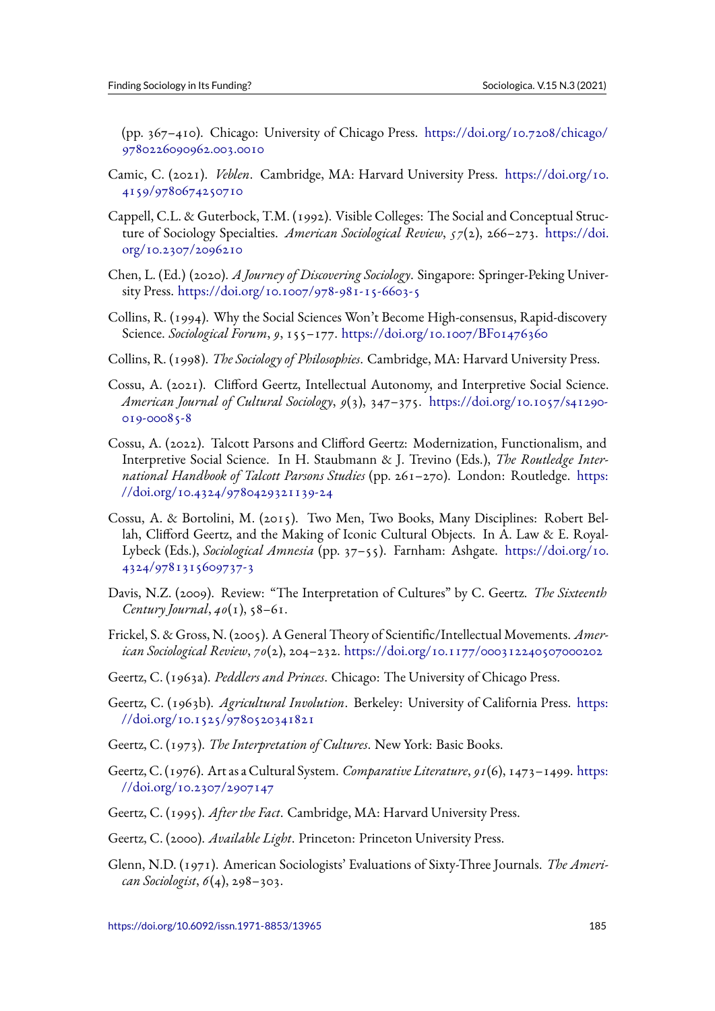(pp. 367–410). Chicago: University of Chicago Press. https://doi.org/10.7208/chicago/ 9780226090962.003.0010

- Camic, C. (2021). *Veblen*. Cambridge, MA: Harvard University Press. https://doi.org/10. 4159/9780674250710
- C[appell, C.L. & Guterbock, T](https://doi.org/10.7208/chicago/9780226090962.003.0010).M. (1992). Visible Colleges: The Social and Conceptual Structure of Sociology Specialties. *American Sociological Review*, *57*(2), 266–273. [https://doi.](https://doi.org/10.4159/9780674250710) [org/10.2307/2096210](https://doi.org/10.4159/9780674250710)
- Chen, L. (Ed.) (2020). *A Journey of Discovering Sociology*. Singapore: Springer-Peking University Press. https://doi.org/10.1007/978-981-15-6603-5
- C[ollins, R. \(1994\). Why t](https://doi.org/10.2307/2096210)he Social Sciences Won't Become High-consensus, Rapid-discovery Science. *Sociological Forum*, *9*, 155–177. https://doi.org/10.1007/BF01476360
- Collins, R. (1998). *[The Sociology of Philosophies](https://doi.org/10.1007/978-981-15-6603-5)*. Cambridge, MA: Harvard University Press.
- Cossu, A. (2021). Clifford Geertz, Intelle[ctual Autonomy, and Interpretive Soc](https://doi.org/10.1007/BF01476360)ial Science. *American Journal of Cultural Sociology*, *9*(3), 347–375. https://doi.org/10.1057/s41290- 019-00085-8
- Cossu, A. (2022). Talcott Parsons and Clifford Geertz: Modernization, Functionalism, and Interpretive Social Science. In H. Staubmann & J. Trevino (Eds.), *[The Routledge Inter](https://doi.org/10.1057/s41290-019-00085-8)[national Han](https://doi.org/10.1057/s41290-019-00085-8)dbook of Talcott Parsons Studies* (pp. 261–270). London: Routledge. https: //doi.org/10.4324/9780429321139-24
- Cossu, A. & Bortolini, M. (2015). Two Men, Two Books, Many Disciplines: Robert Bellah, Clifford Geertz, and the Making of Iconic Cultural Objects. In A. Law & E. [Royal-](https://doi.org/10.4324/9780429321139-24)Lybeck (Eds.), *[Sociological Amnesia](https://doi.org/10.4324/9780429321139-24)* (pp. 37–55). Farnham: Ashgate. https://doi.org/10. 4324/9781315609737-3
- Davis, N.Z. (2009). Review: "The Interpretation of Cultures" by C. Geertz. *The Sixteenth Century Journal*, *40*(1), 58–61.
- Fr[ickel, S. & Gross, N. \(2005](https://doi.org/10.4324/9781315609737-3)). A General Theory of Scientific/Intellectual Movements. *American Sociological Review*, *70*(2), 204–232. https://doi.org/10.1177/000312240507000202
- Geertz, C. (1963a). *Peddlers and Princes*. Chicago: The University of Chicago Press.
- Geertz, C. (1963b). *Agricultural Involution*[. Berkeley: University of California Press.](https://doi.org/10.1177/000312240507000202) https: //doi.org/10.1525/9780520341821
- Geertz, C. (1973). *The Interpretation of Cultures*. New York: Basic Books.
- G[eertz, C. \(1976\). Art as a Cultural Sys](https://doi.org/10.1525/9780520341821)tem. *Comparative Literature*, *91*(6), 1473–1499. [https:](https://doi.org/10.1525/9780520341821) //doi.org/10.2307/2907147
- Geertz, C. (1995). *After the Fact*. Cambridge, MA: Harvard University Press.
- G[eertz, C. \(2000\).](https://doi.org/10.2307/2907147) *Available Light*. Princeton: Princeton University Press.
- Glenn, N.D. (1971). American Sociologists' Evaluations of Sixty-Three Journals. *The American Sociologist*, *6*(4), 298–303.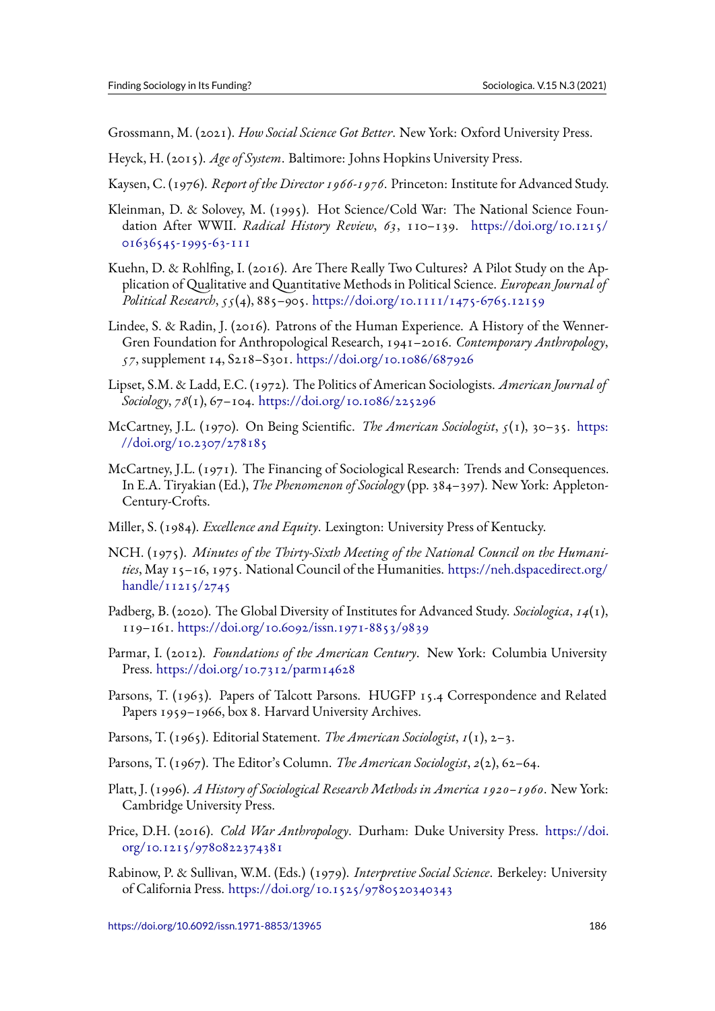Grossmann, M. (2021). *How Social Science Got Better*. New York: Oxford University Press.

- Heyck, H. (2015). *Age of System*. Baltimore: Johns Hopkins University Press.
- Kaysen, C. (1976). *Report of the Director 1966-1976*. Princeton: Institute for Advanced Study.
- Kleinman, D. & Solovey, M. (1995). Hot Science/Cold War: The National Science Foundation After WWII. *Radical History Review*, *63*, 110–139. https://doi.org/10.1215/ 01636545-1995-63-111
- Kuehn, D. & Rohlfing, I. (2016). Are There Really Two Cultures? A Pilot Study on the Application of Qualitative and Quantitative Methods in Political Science. *[European Journal of](https://doi.org/10.1215/01636545-1995-63-111) [Political Research](https://doi.org/10.1215/01636545-1995-63-111)*, *55*(4), 885–905. https://doi.org/10.1111/1475-6765.12159
- Lindee, S. & Radin, J. (2016). Patrons of the Human Experience. A History of the Wenner-Gren Foundation for Anthropological Research, 1941–2016. *Contemporary Anthropology*, *57*, supplement 14, S218–S301. ht[tps://doi.org/10.1086/687926](https://doi.org/10.1111/1475-6765.12159)
- Lipset, S.M. & Ladd, E.C. (1972). The Politics of American Sociologists. *American Journal of Sociology*, *78*(1), 67–104. https://doi.org/10.1086/225296
- McCartney, J.L. (1970). On Being Scientific. *[The American Sociolo](https://doi.org/10.1086/687926)gist*, *5*(1), 30–35. https: //doi.org/10.2307/278185
- McCartney, J.L. (1971). T[he Financing of Sociological Resea](https://doi.org/10.1086/225296)rch: Trends and Consequences. In E.A. Tiryakian (Ed.), *The Phenomenon of Sociology* (pp. 384–397). New York: Ap[pleton-](https://doi.org/10.2307/278185)[Century-Crofts.](https://doi.org/10.2307/278185)
- Miller, S. (1984). *Excellence and Equity*. Lexington: University Press of Kentucky.
- NCH. (1975). *Minutes of the Thirty-Sixth Meeting of the National Council on the Humanities*, May 15–16, 1975. National Council of the Humanities. https://neh.dspacedirect.org/  $h$ andle/11215/2745
- Padberg, B. (2020). The Global Diversity of Institutes for Advanced Study. *Sociologica*, *14*(1), 119–161. https://doi.org/10.6092/issn.1971-8853/9839
- Pa[rmar, I. \(2012\).](https://neh.dspacedirect.org/handle/11215/2745) *Foundations of the American Century*. New York: Columbia University Press. https://doi.org/10.7312/parm14628
- Parsons, T.([1963\). Papers of Talcott Parsons. HUGFP 15](https://doi.org/10.6092/issn.1971-8853/9839).4 Correspondence and Related Papers 1959–1966, box 8. Harvard University Archives.
- Parsons, [T. \(1965\). Editorial Statement.](https://doi.org/10.7312/parm14628) *The American Sociologist*, *1*(1), 2–3.
- Parsons, T. (1967). The Editor's Column. *The American Sociologist*, *2*(2), 62–64.
- Platt, J. (1996). *A History of Sociological Research Methods in America 1920–1960*. New York: Cambridge University Press.
- Price, D.H. (2016). *Cold War Anthropology*. Durham: Duke University Press. https://doi. org/10.1215/9780822374381
- Rabinow, P. & Sullivan, W.M. (Eds.) (1979). *Interpretive Social Science*. Berkeley: University [of California Press.](https://doi.org/10.1215/9780822374381) https://doi.org/10.1525/9780520340343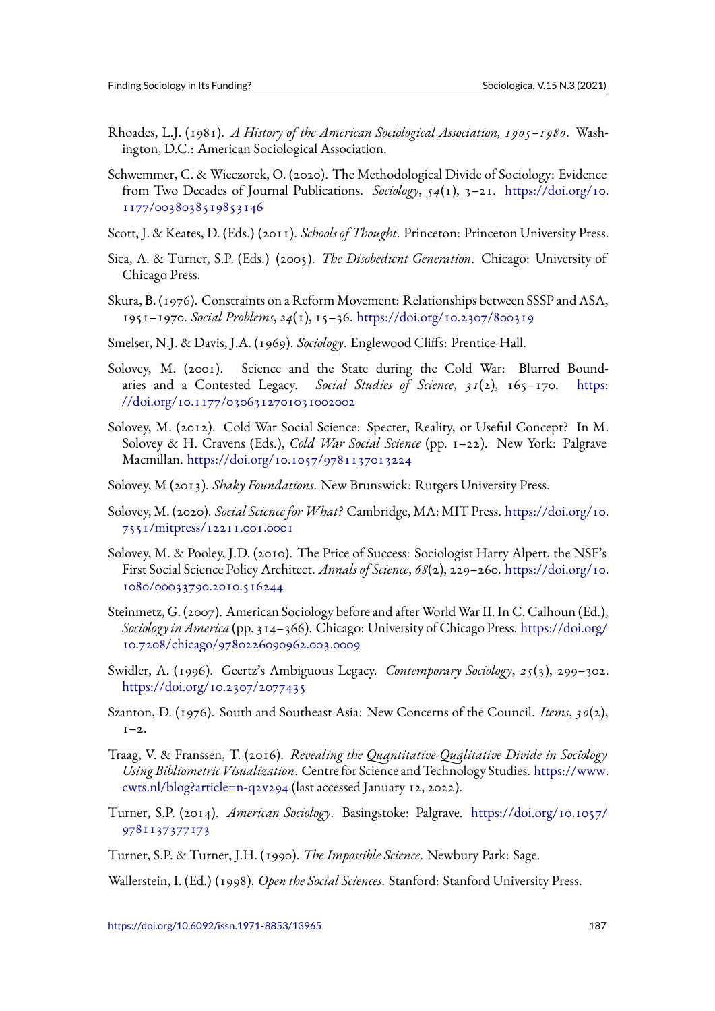- Rhoades, L.J. (1981). *A History of the American Sociological Association, 1905–1980*. Washington, D.C.: American Sociological Association.
- Schwemmer, C. & Wieczorek, O. (2020). The Methodological Divide of Sociology: Evidence from Two Decades of Journal Publications. *Sociology*, *54*(1), 3–21. https://doi.org/10. 1177/0038038519853146
- Scott, J. & Keates, D. (Eds.) (2011). *Schools of Thought*. Princeton: Princeton University Press.
- Si[ca, A. & Turner, S.P. \(Eds.](https://doi.org/10.1177/0038038519853146)) (2005). *The Disobedient Generation*. Chi[cago: University of](https://doi.org/10.1177/0038038519853146) Chicago Press.
- Skura, B. (1976). Constraints on a Reform Movement: Relationships between SSSP and ASA, 1951–1970. *Social Problems*, *24*(1), 15–36. https://doi.org/10.2307/800319
- Smelser, N.J. & Davis, J.A. (1969). *Sociology*. Englewood Cliffs: Prentice-Hall.
- Solovey, M. (2001). Science and the St[ate during the Cold War: Blu](https://doi.org/10.2307/800319)rred Boundaries and a Contested Legacy. *Social Studies of Science*, *31*(2), 165–170. https: //doi.org/10.1177/0306312701031002002
- Solovey, M. (2012). Cold War Social Science: Specter, Reality, or Useful Concept? In M. Solovey & H. Cravens (Eds.), *Cold War Social Science* (pp. 1–22). New York: Pa[lgrave](https://doi.org/10.1177/0306312701031002002) Macmillan. [https://doi.org/10.1057/97811](https://doi.org/10.1177/0306312701031002002)37013224
- Solovey, M (2013). *Shaky Foundations*. New Brunswick: Rutgers University Press.
- Solovey, M. (2020). *[Social Science forWhat?](https://doi.org/10.1057/9781137013224)* Cambridge, MA: MIT Press. https://doi.org/10. 7551/mitpress/12211.001.0001
- Solovey, M. & Pooley, J.D. (2010). The Price of Success: Sociologist Harry Alpert, the NSF's First Social Science Policy Architect. *Annals of Science*, *68*(2), 229–260. [https://doi.org/10.](https://doi.org/10.7551/mitpress/12211.001.0001) [1080/00033790.2010.516244](https://doi.org/10.7551/mitpress/12211.001.0001)
- Steinmetz, G. (2007). American Sociology before and after World War II. In C. Calhoun (Ed.), *Sociology in America* (pp. 314–366). Chicago: University of Chicago Press. [https://doi.org/](https://doi.org/10.1080/00033790.2010.516244) [10.7208/chicago/9780226090](https://doi.org/10.1080/00033790.2010.516244)962.003.0009
- Swidler, A. (1996). Geertz's Ambiguous Legacy. *Contemporary Sociology*, *25*(3), 299–302. https://doi.org/10.2307/2077435
- Sz[anton, D. \(1976\). South and Southeast Asia:](https://doi.org/10.7208/chicago/9780226090962.003.0009) New Concerns of the Council. *Items*, *30*(2),  $1-2$ .
- Tr[aag, V. & Franssen, T. \(2016\).](https://doi.org/10.2307/2077435) *Revealing the Quantitative-Qualitative Divide in Sociology Using Bibliometric Visualization*. Centre for Science and Technology Studies. https://www. cwts.nl/blog?article=n-q2v294 (last accessed January 12, 2022).
- Turner, S.P. (2014). *American Sociology*. Basingstoke: Palgrave. https://doi.org/10.1057/ 9781137377173
- T[urner, S.P. & Turner, J.H. \(1990](https://www.cwts.nl/blog?article=n-q2v294)). *The Impossible Science*. Newbury Park: Sage.

W[allerstein, I. \(Ed.\)](https://doi.org/10.1057/9781137377173) (1998). *Open the Social Sciences*. Stanford: Stan[ford University Press.](https://doi.org/10.1057/9781137377173)